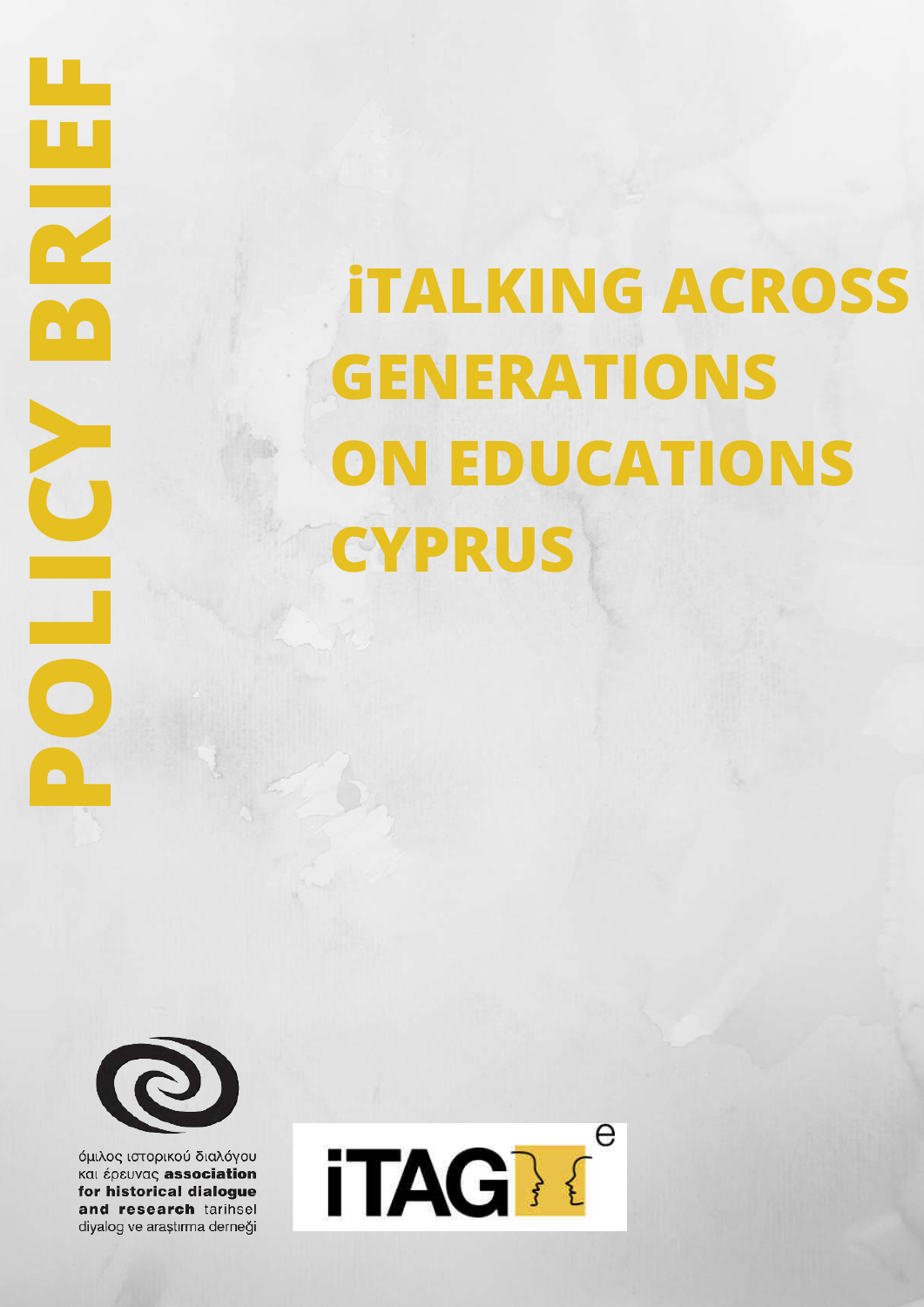# **iTALKING ACROSS GENERATIONS ON EDUCATIONS CYPRUS**



**POLICY BRIEF** 

 $\bullet$   $\bullet$ 

P

όμιλος ιστορικού διαλόγου και έρευνας association for historical dialogue and research tarihsel diyalog ve araştırma derneği

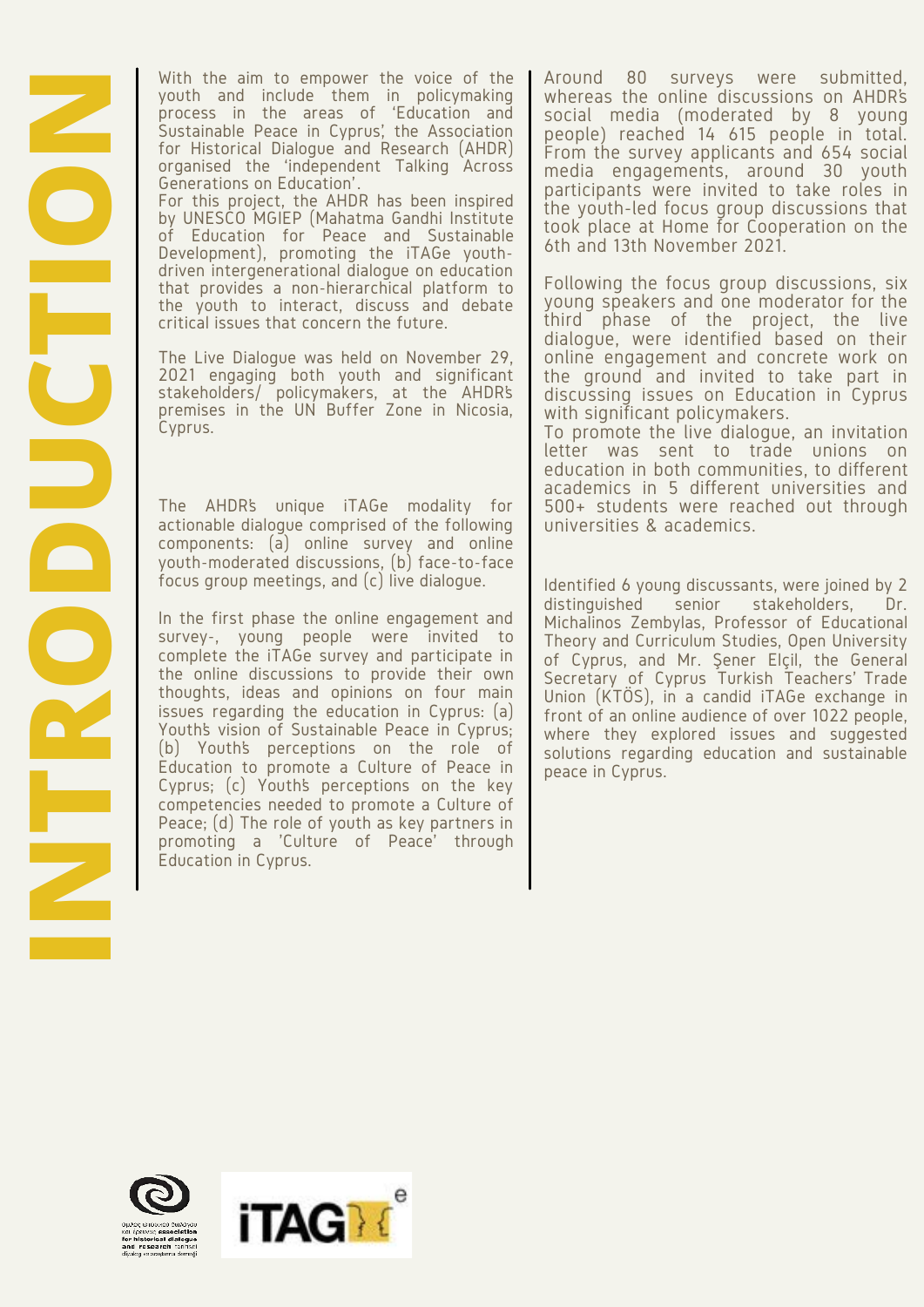With the aim to empower the voice of the youth and include them in policymaking process in the areas of 'Education and Sustainable Peace in Cyprus', the Association for Historical Dialogue and Research (AHDR) organised the 'independent Talking Across Generations on Education' . For this project, the AHDR has been inspired by UNESCO MGIEP (Mahatma Gandhi Institute of Education for Peace and Sustainable Development), promoting the iTAGe youth-

driven intergenerational dialogue on education that provides a non-hierarchical platform to the youth to interact, discuss and debate critical issues that concern the future.

The Live Dialogue was held on November 29, 2021 engaging both youth and significant stakeholders/ policymakers, at the AHDR's premises in the UN Buffer Zone in Nicosia, Cyprus.

actionable dialogue comprised of the following components: (a) online survey and online youth-moderated discussions, (b) face-to-face focus group meetings, and (c) live dialogue.

**INTERNATION THE SET THE SET THE SET THANGE OF THE SERVER CONTROLL INTERNATION CONTROLL DISPOSES In the Great of Education for Pisace and Sustainable propries for this project, the AHDR has been inspired by the<br>Second of t** In the first phase the online engagement and survey-, young people were invited to complete the iTAGe survey and participate in the online discussions to provide their own thoughts, ideas and opinions on four main issues regarding the education in Cyprus: (a) Youth's vision of Sustainable Peace in Cyprus; (b) Youth's perceptions on the role of Education to promote a Culture of Peace in Cyprus; (c) Youth's perceptions on the key competencies needed to promote a Culture of Peace; (d) The role of youth as key partners in promoting a 'Culture of Peace' through Education in Cyprus.

Around 80 surveys were submitted, whereas the online discussions on AHDR's social media (moderated by 8 young people) reached 14 615 people in total. From the survey applicants and 654 social media engagements, around 30 youth participants were invited to take roles in the youth-led focus group discussions that took place at Home for Cooperation on the 6th and 13th November 2021.

Following the focus group discussions, six young speakers and one moderator for the third phase of the project, the live dialogue, were identified based on their online engagement and concrete work on the ground and invited to take part in discussing issues on Education in Cyprus with significant policymakers.

To promote the live dialogue, an invitation letter was sent to trade unions on education in both communities, to different academics in 5 different universities and 500+ students were reached out through universities & academics.

Identified 6 young discussants, were joined by 2 distinguished senior stakeholders, Dr. Michalinos Zembylas, Professor of Educational Theory and Curriculum Studies, Open University of Cyprus, and Mr. Şener Elçil, the General Secretary of Cyprus Turkish Teachers' Trade Union (KTÖS), in a candid iTAGe exchange in front of an online audience of over 1022 people, where they explored issues and suggested solutions regarding education and sustainable peace in Cyprus.



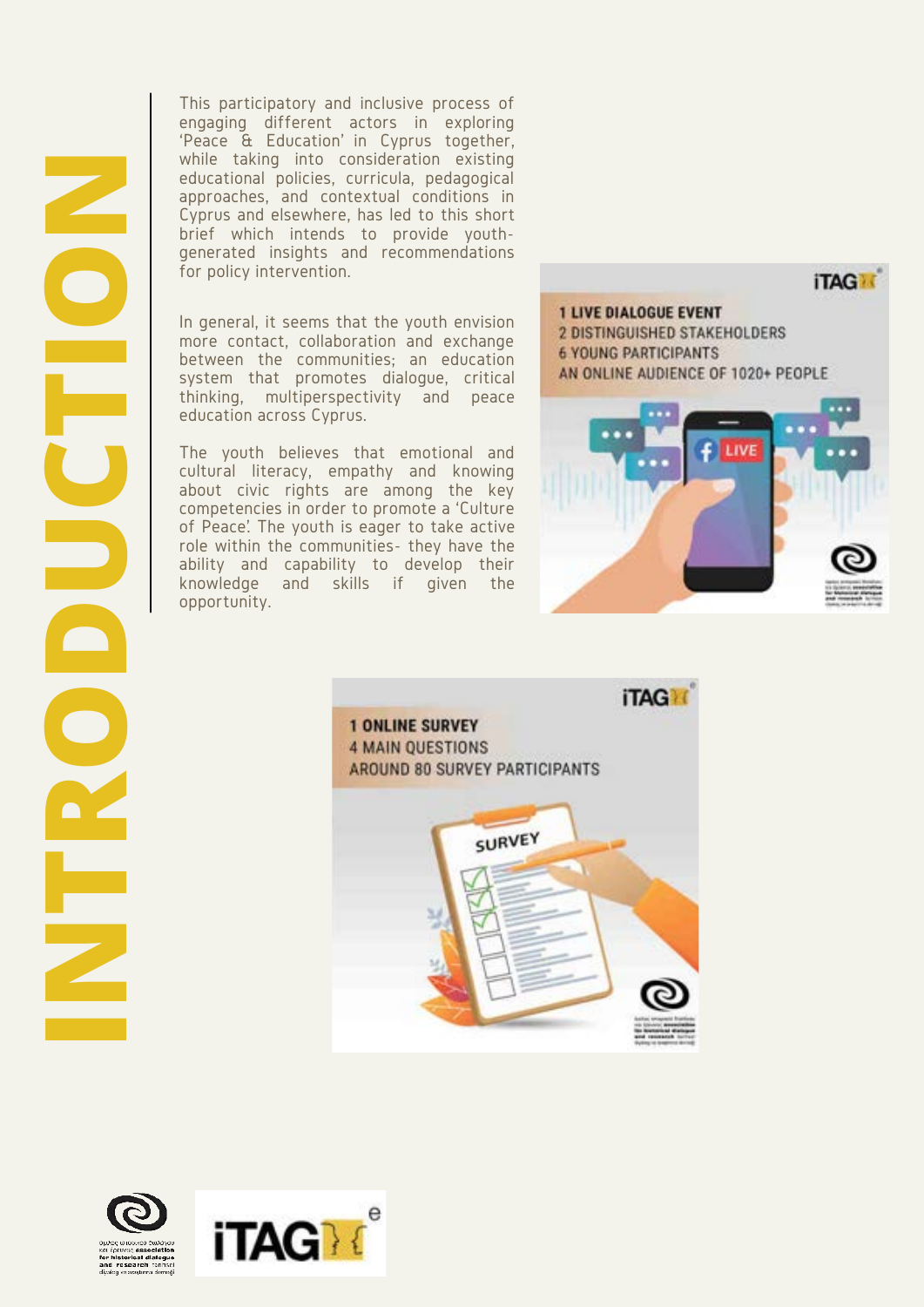This participatory and inclusive process of engaging different actors in exploring 'Peace & Education' in Cyprus together, while taking into consideration existing educational policies, curricula, pedagogical approaches, and contextual conditions in Cyprus and elsewhere, has led to this short brief which intends to provide youthgenerated insights and recommendations for policy intervention.

more contact, collaboration and exchange between the communities; an education system that promotes dialogue, critical thinking, multiperspectivity and peace education across Cyprus.

The youth believes that emotional and cultural literacy, empathy and knowing about civic rights are among the key competencies in order to promote a 'Culture of Peace'. The youth is eager to take active role within the communities- they have the ability and capability to develop their knowledge and skills if given the opportunity.





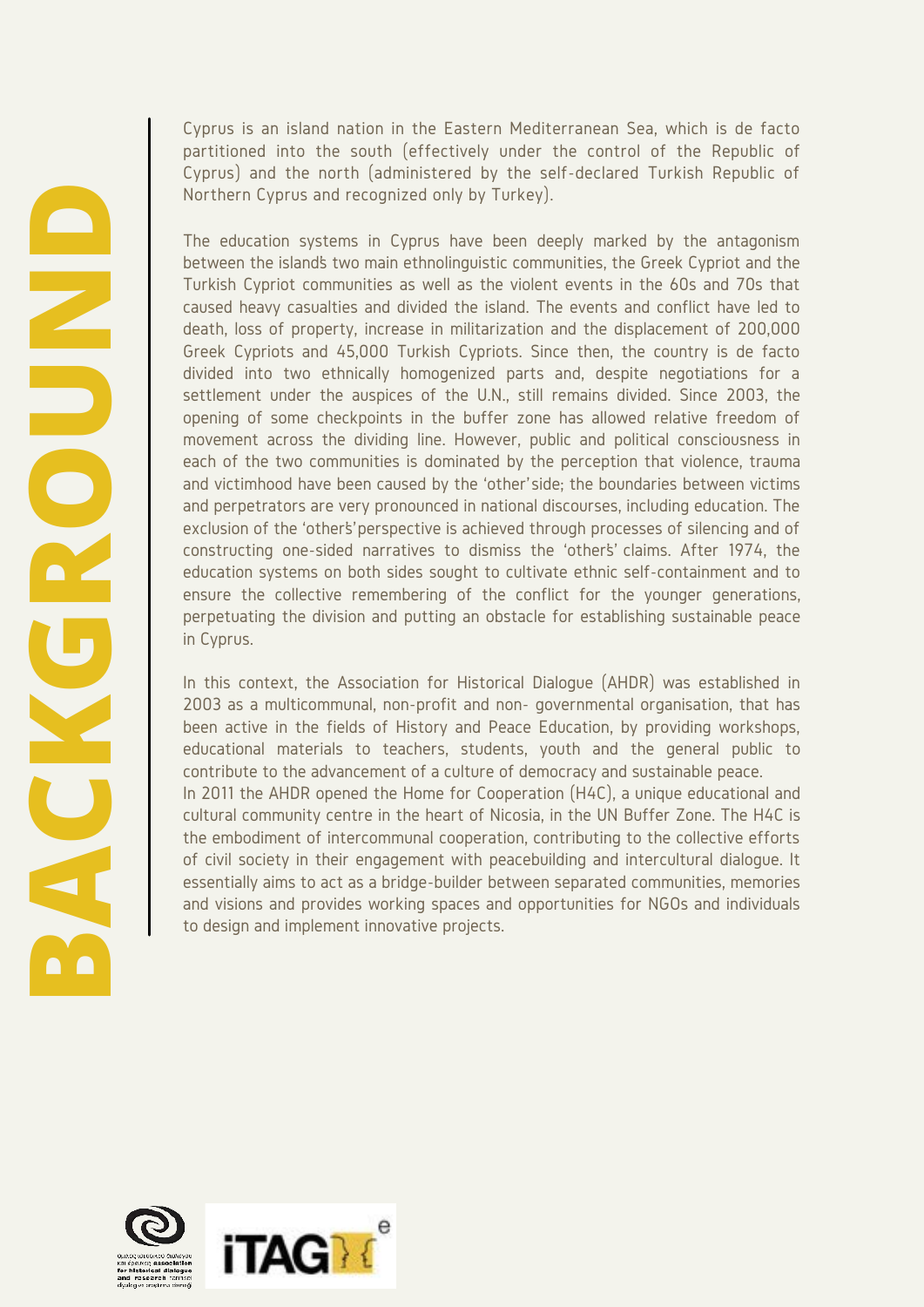Cyprus is an island nation in the Eastern Mediterranean Sea, which is de facto partitioned into the south (effectively under the control of the Republic of Cyprus) and the north (administered by the self-declared Turkish Republic of Northern Cyprus and recognized only by Turkey).

The education systems in Cyprus have been deeply marked by the antagonism between the island's two main ethnolinguistic communities, the Greek Cypriot and the Turkish Cypriot communities as well as the violent events in the 60s and 70s that caused heavy casualties and divided the island. The events and conflict have led to death, loss of property, increase in militarization and the displacement of 200,000 Greek Cypriots and 45,000 Turkish Cypriots. Since then, the country is de facto divided into two ethnically homogenized parts and, despite negotiations for a settlement under the auspices of the U.N., still remains divided. Since 2003, the opening of some checkpoints in the buffer zone has allowed relative freedom of movement across the dividing line. However, public and political consciousness in each of the two communities is dominated by the perception that violence, trauma and victimhood have been caused by the 'other' side; the boundaries between victims and perpetrators are very pronounced in national discourses, including education. The exclusion of the 'other's perspective is achieved through processes of silencing and of constructing one-sided narratives to dismiss the 'other's' claims. After 1974, the education systems on both sides sought to cultivate ethnic self-containment and to ensure the collective remembering of the conflict for the younger generations, perpetuating the division and putting an obstacle for establishing sustainable peace in Cyprus.

In this context, the Association for Historical Dialogue (AHDR) was established in 2003 as a multicommunal, non-profit and non- governmental organisation, that has been active in the fields of History and Peace Education, by providing workshops, educational materials to teachers, students, youth and the general public to contribute to the advancement of a culture of democracy and sustainable peace. In 2011 the AHDR opened the Home for Cooperation (H4C), a unique educational and cultural community centre in the heart of Nicosia, in the UN Buffer Zone. The H4C is the embodiment of intercommunal cooperation, contributing to the collective efforts of civil society in their engagement with peacebuilding and intercultural dialogue. It essentially aims to act as a bridge-builder between separated communities, memories and visions and provides working spaces and opportunities for NGOs and individuals to design and implement innovative projects.

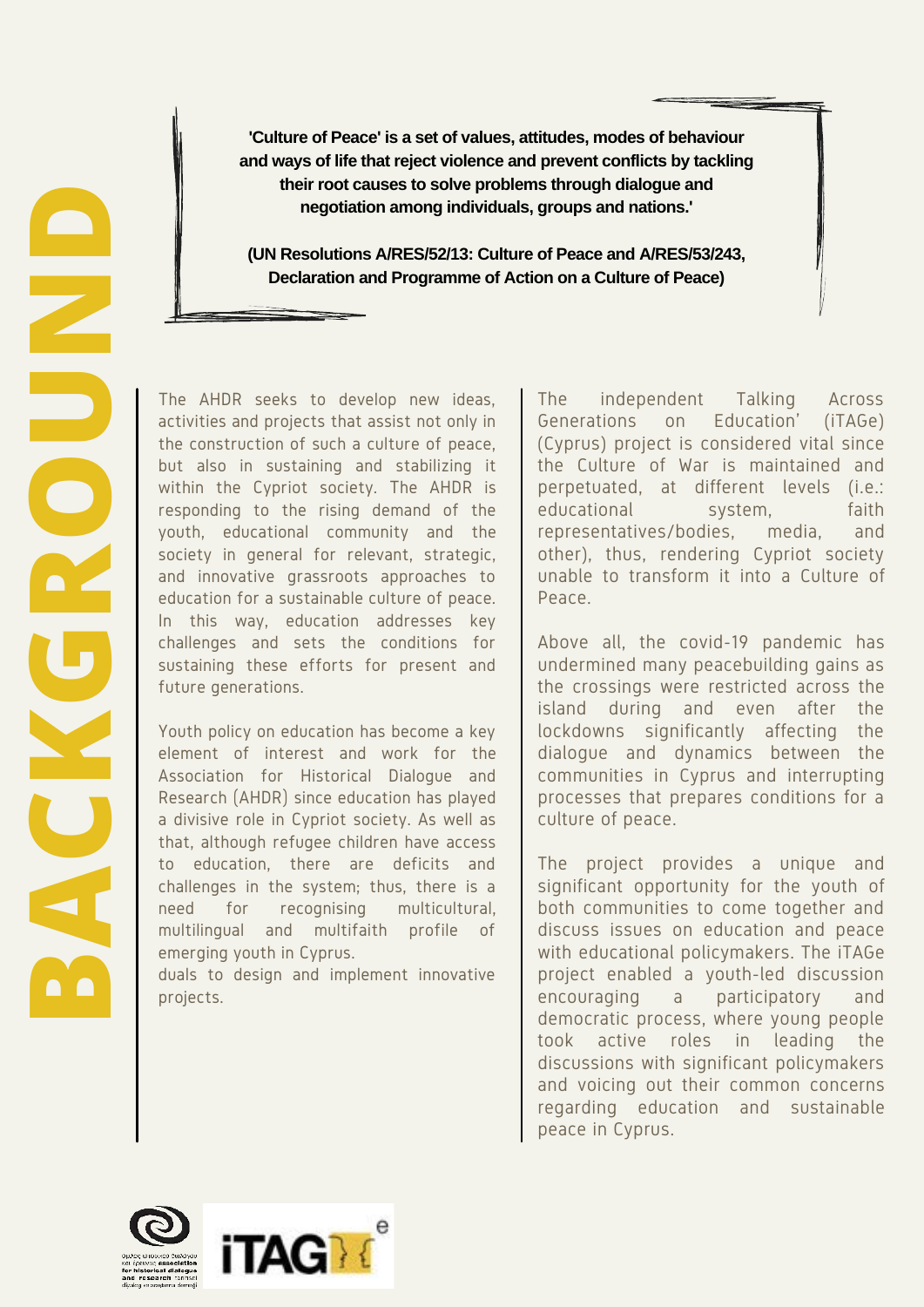**'Culture of Peace' is a set of values, attitudes, modes of behaviour and ways of life that reject violence and prevent conflicts by tackling their root causes to solve problems through dialogue and negotiation among individuals, groups and nations.'**

**(UN Resolutions A/RES/52/13: Culture of Peace and A/RES/53/243, Declaration and Programme of Action on a Culture of Peace)**

**BACK CONTERT CONTERT CONTEAN CONTEAN CONTEAN CONTENT CONTENT CONTENT CONTENT CONTENT CONTENT CONTENT CONTENT CONTENT CONTENT CONTENT CONTENT CONTENT CONTENT CONTENT CONTENT CONTENT CONTENT CONTENT CONTENT CONTENT CONTENT** activities and projects that assist not only in the construction of such a culture of peace, but also in sustaining and stabilizing it within the Cypriot society. The AHDR is responding to the rising demand of the youth, educational community and the society in general for relevant, strategic, and innovative grassroots approaches to education for a sustainable culture of peace. In this way, education addresses key challenges and sets the conditions for sustaining these efforts for present and future generations.

Youth policy on education has become a key element of interest and work for the Association for Historical Dialogue and Research (AHDR) since education has played a divisive role in Cypriot society. As well as that, although refugee children have access to education, there are deficits and challenges in the system; thus, there is a need for recognising multicultural, multilingual and multifaith profile of emerging youth in Cyprus.

duals to design and implement innovative projects.

The independent Talking Across Generations on Education' (iTAGe) (Cyprus) project is considered vital since the Culture of War is maintained and perpetuated, at different levels (i.e.: educational system, faith representatives/bodies, media, and other), thus, rendering Cypriot society unable to transform it into a Culture of Peace.

Above all, the covid-19 pandemic has undermined many peacebuilding gains as the crossings were restricted across the island during and even after the lockdowns significantly affecting the dialogue and dynamics between the communities in Cyprus and interrupting processes that prepares conditions for a culture of peace.

The project provides a unique and significant opportunity for the youth of both communities to come together and discuss issues on education and peace with educational policymakers. The iTAGe project enabled a youth-led discussion encouraging a participatory and democratic process, where young people took active roles in leading the discussions with significant policymakers and voicing out their common concerns regarding education and sustainable peace in Cyprus.

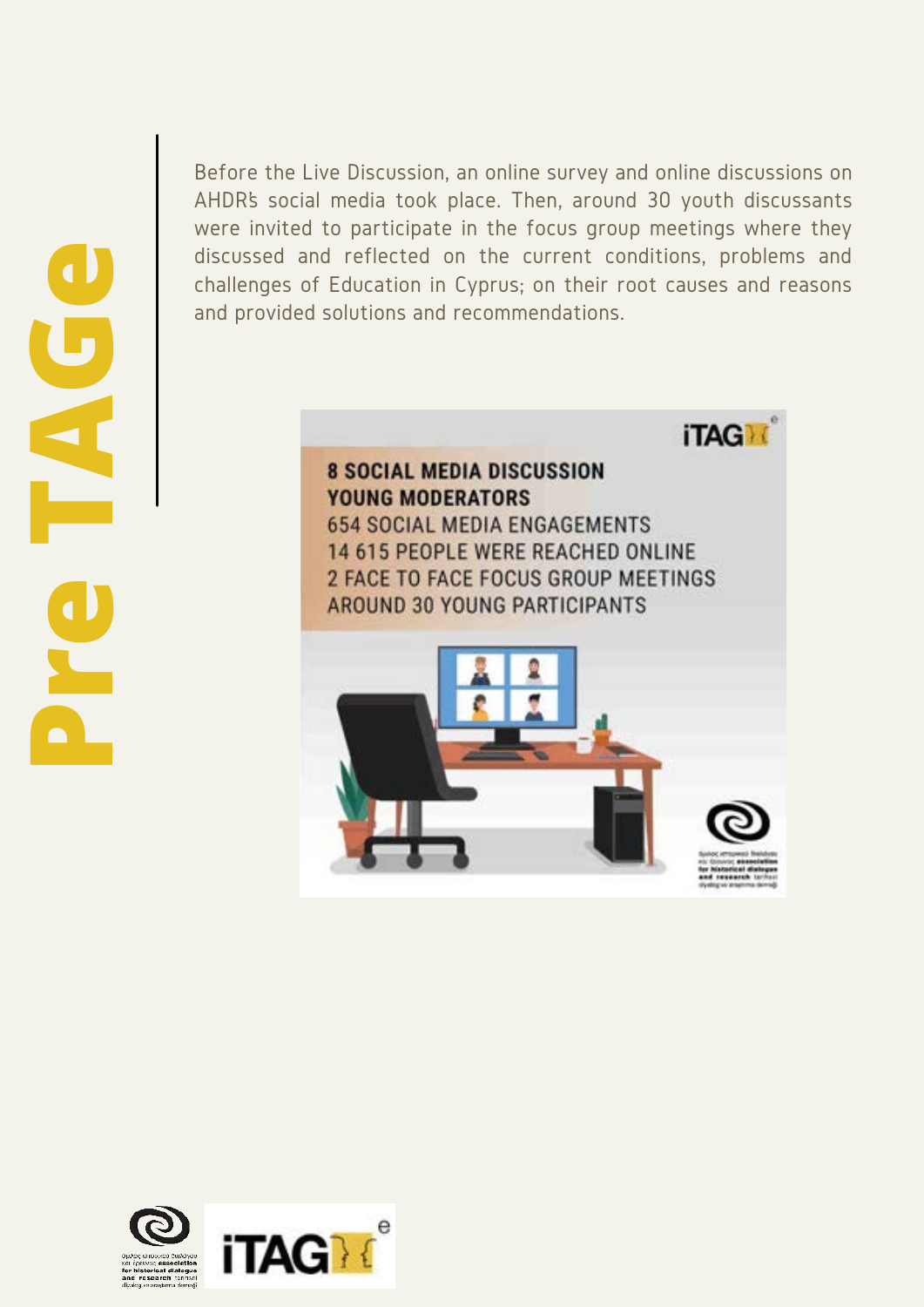Before the Live Discussion, an online survey and online discussions on AHDR's social media took place. Then, around 30 youth discussants were invited to participate in the focus group meetings where they discussed and reflected on the current conditions, problems and challenges of Education in Cyprus; on their root causes and reasons and provided solutions and recommendations.



14 615 PEOPLE WERE REACHED ONLINE 2 FACE TO FACE FOCUS GROUP MEETINGS AROUND 30 YOUNG PARTICIPANTS





**iTAGN** 

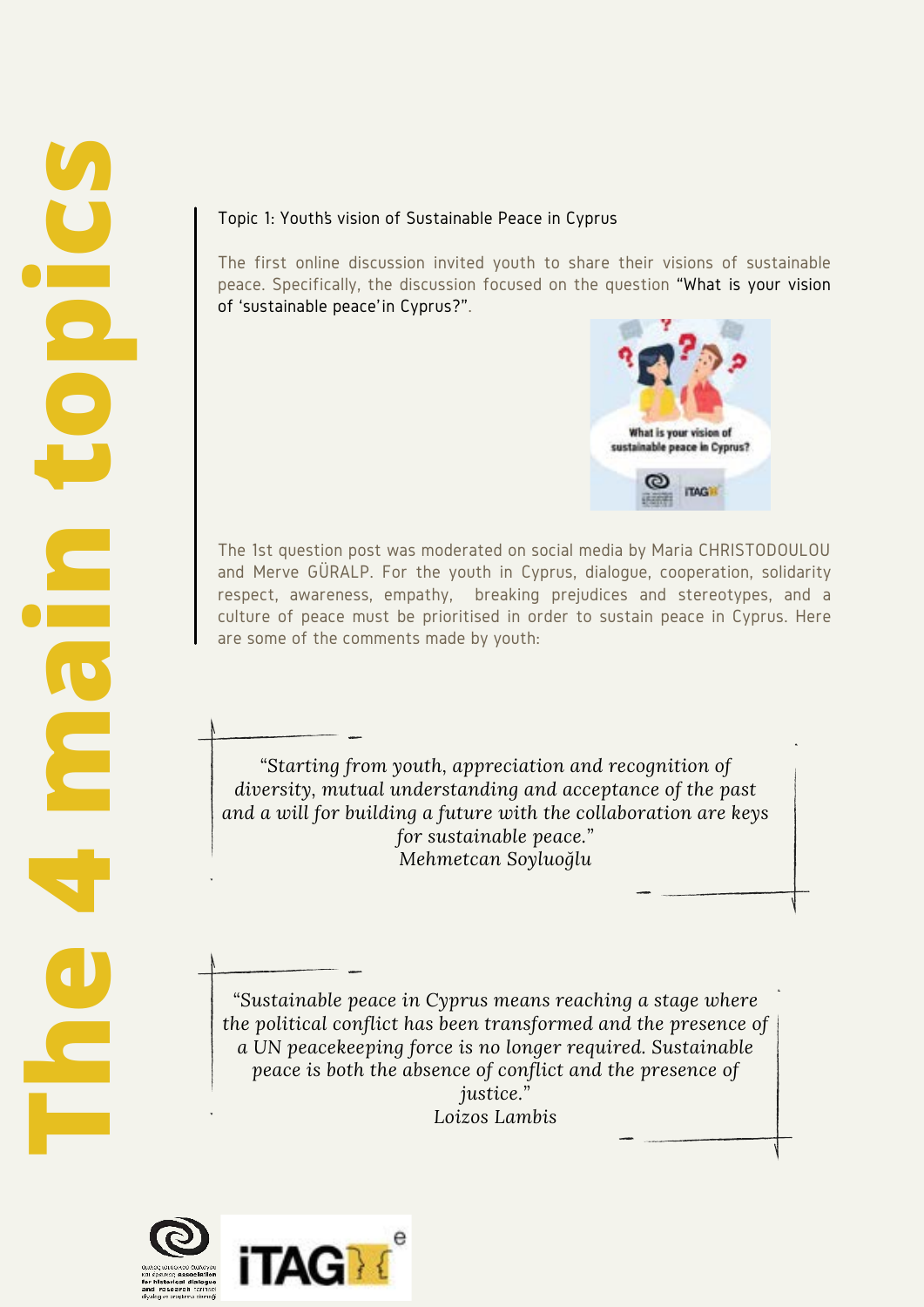#### Topic 1: Youth's vision of Sustainable Peace in Cyprus

The first online discussion invited youth to share their visions of sustainable peace. Specifically, the discussion focused on the question "What is your vision of 'sustainable peace' in Cyprus?".



The 1st question post was moderated on social media by Maria CHRISTODOULOU and Merve GÜRALP. For the youth in Cyprus, dialogue, cooperation, solidarity respect, awareness, empathy, breaking prejudices and stereotypes, and a culture of peace must be prioritised in order to sustain peace in Cyprus. Here are some of the comments made by youth:

*"Starting from youth, appreciation and recognition of diversity, mutual understanding and acceptance of the past and a will for building a future with the collaboration are keys for sustainable peace." Mehmetcan Soyluoğlu*

*"Sustainable peace in Cyprus means reaching a stage where the political conflict has been transformed and the presence of a UN peacekeeping force is no longer required. Sustainable peace is both the absence of conflict and the presence of justice." Loizos Lambis*



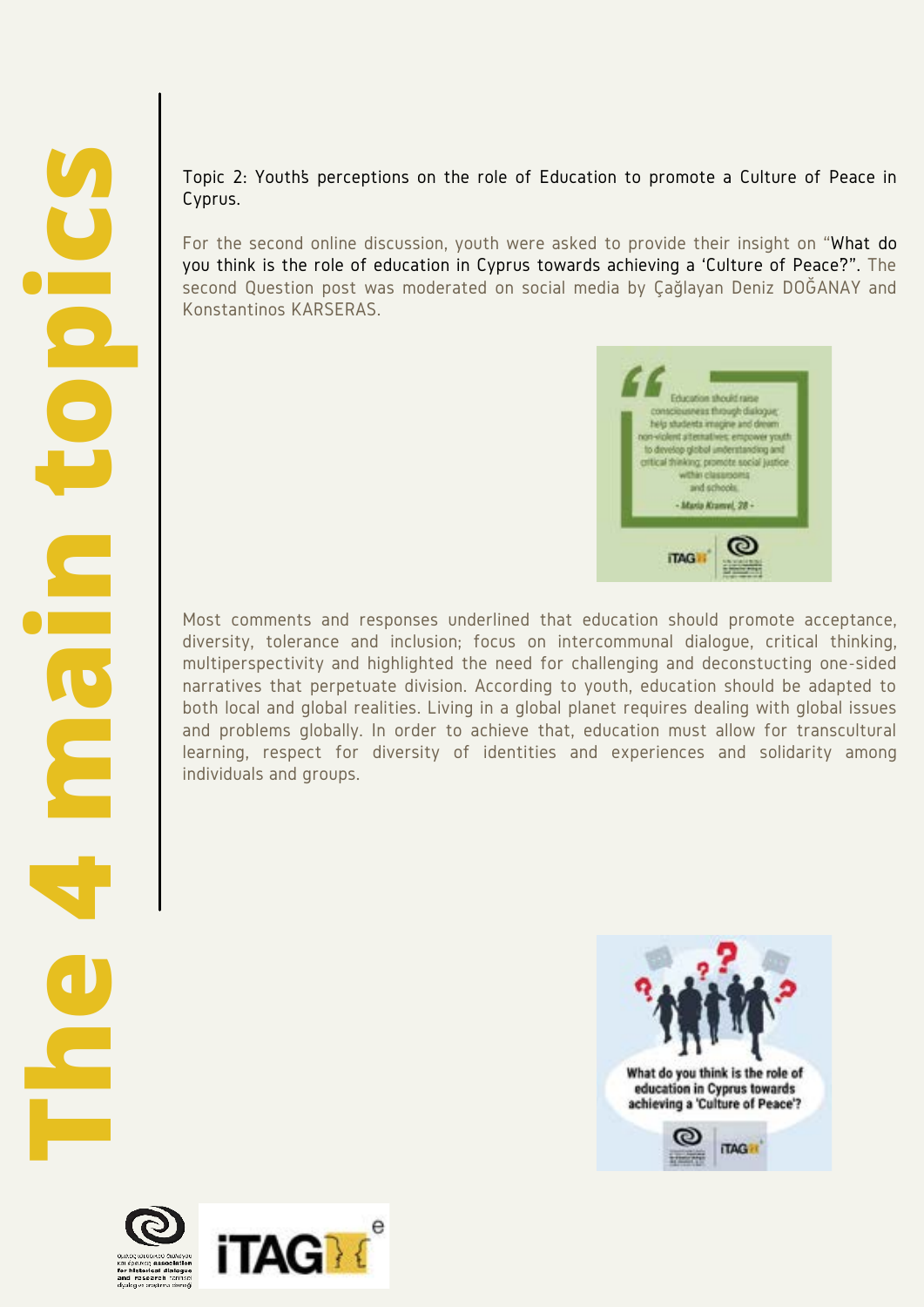Topic 2: Youth's perceptions on the role of Education to promote a Culture of Peace in Cyprus.

For the second online discussion, youth were asked to provide their insight on "What do you think is the role of education in Cyprus towards achieving a 'Culture of Peace'?". The second Question post was moderated on social media by Çağlayan Deniz DOĞANAY and Konstantinos KARSERAS.



Most comments and responses underlined that education should promote acceptance, diversity, tolerance and inclusion; focus on intercommunal dialogue, critical thinking, multiperspectivity and highlighted the need for challenging and deconstucting one-sided narratives that perpetuate division. According to youth, education should be adapted to both local and global realities. Living in a global planet requires dealing with global issues and problems globally. In order to achieve that, education must allow for transcultural learning, respect for diversity of identities and experiences and solidarity among individuals and groups.



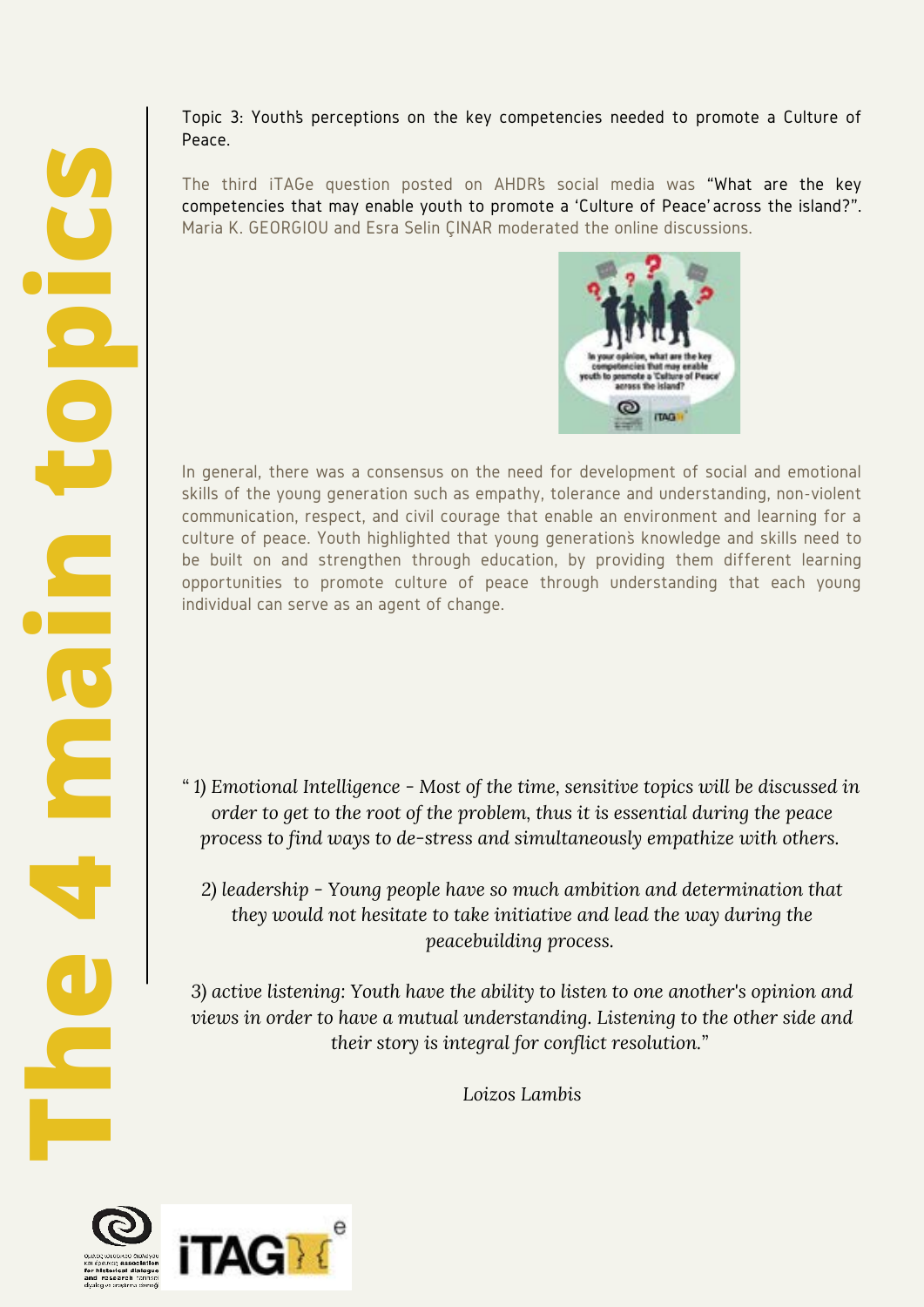Topic 3: Youth's perceptions on the key competencies needed to promote a Culture of Peace.

The third iTAGe question posted on AHDR's social media was "What are the key competencies that may enable youth to promote a 'Culture of Peace' across the island?". Maria K. GEORGIOU and Esra Selin ÇINAR moderated the online discussions.



In general, there was a consensus on the need for development of social and emotional skills of the young generation such as empathy, tolerance and understanding, non-violent communication, respect, and civil courage that enable an environment and learning for a culture of peace. Youth highlighted that young generation's knowledge and skills need to be built on and strengthen through education, by providing them different learning opportunities to promote culture of peace through understanding that each young individual can serve as an agent of change.

- *" 1) Emotional Intelligence Most of the time, sensitive topics will be discussed in order to get to the root of the problem, thus it is essential during the peace process to find ways to de-stress and simultaneously empathize with others.* 
	- *2) leadership Young people have so much ambition and determination that they would not hesitate to take initiative and lead the way during the peacebuilding process.*

*3) active listening: Youth have the ability to listen to one another's opinion and views in order to have a mutual understanding. Listening to the other side and their story is integral for conflict resolution."* 

*Loizos Lambis*

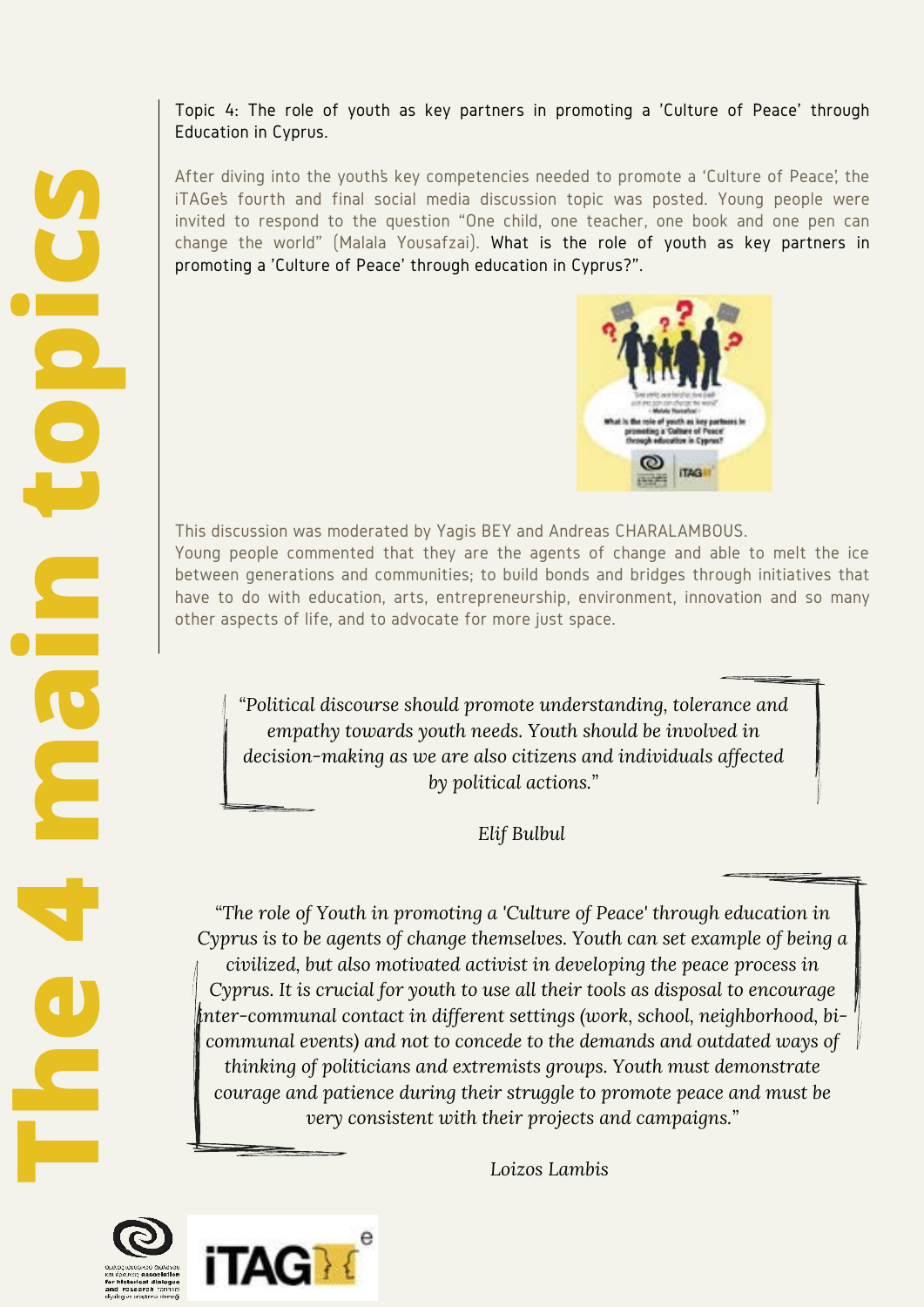#### Topic 4: The role of youth as key partners in promoting a 'Culture of Peace' through Education in Cyprus.

After diving into the youth's key competencies needed to promote a 'Culture of Peace', the iTAGe's fourth and final social media discussion topic was posted. Young people were invited to respond to the question "One child, one teacher, one book and one pen can change the world" (Malala Yousafzai). What is the role of youth as key partners in promoting a 'Culture of Peace' through education in Cyprus?".



This discussion was moderated by Yagis BEY and Andreas CHARALAMBOUS. Young people commented that they are the agents of change and able to melt the ice between generations and communities; to build bonds and bridges through initiatives that have to do with education, arts, entrepreneurship, environment, innovation and so many other aspects of life, and to advocate for more just space.

*"Political discourse should promote understanding, tolerance and empathy towards youth needs. Youth should be involved in decision-making as we are also citizens and individuals affected by political actions."*

 *Elif Bulbul* 

*"The role of Youth in promoting a 'Culture of Peace' through education in Cyprus is to be agents of change themselves. Youth can set example of being a civilized, but also motivated activist in developing the peace process in Cyprus. It is crucial for youth to use all their tools as disposal to encourage inter-communal contact in different settings (work, school, neighborhood, bicommunal events) and not to concede to the demands and outdated ways of thinking of politicians and extremists groups. Youth must demonstrate courage and patience during their struggle to promote peace and must be very consistent with their projects and campaigns."*

 *Loizos Lambis* 



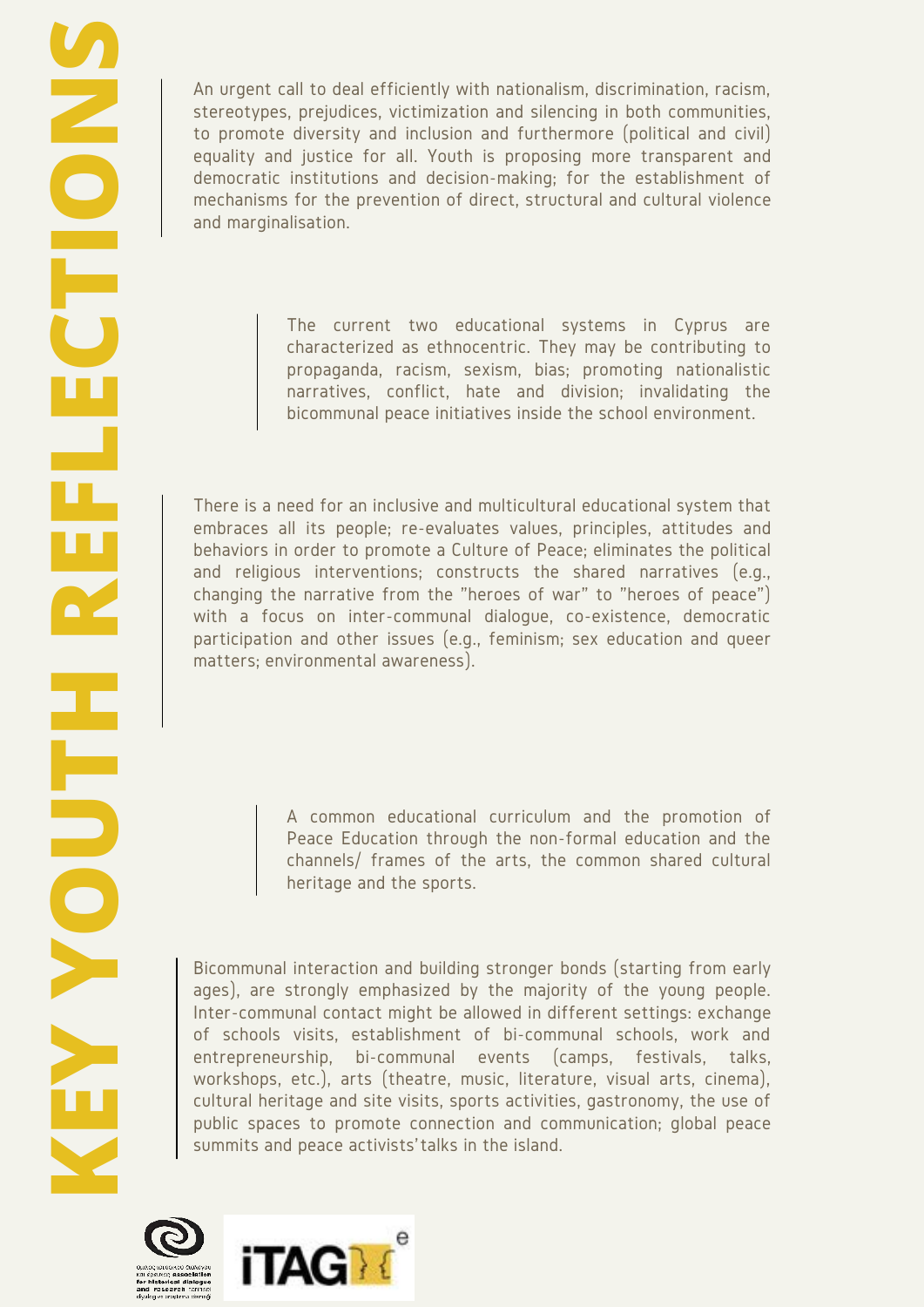An urgent call to deal efficiently with nationalism, discrimination, racism, stereotypes, prejudices, victimization and silencing in both communities, to promote diversity and inclusion and furthermore (political and civil) equality and justice for all. Youth is proposing more transparent and democratic institutions and decision-making; for the establishment of mechanisms for the prevention of direct, structural and cultural violence and marginalisation.

> The current two educational systems in Cyprus are characterized as ethnocentric. They may be contributing to propaganda, racism, sexism, bias; promoting nationalistic narratives, conflict, hate and division; invalidating the bicommunal peace initiatives inside the school environment.

There is a need for an inclusive and multicultural educational system that embraces all its people; re-evaluates values, principles, attitudes and behaviors in order to promote a Culture of Peace; eliminates the political and religious interventions; constructs the shared narratives (e.g., changing the narrative from the "heroes of war" to "heroes of peace") with a focus on inter-communal dialogue, co-existence, democratic participation and other issues (e.g., feminism; sex education and queer matters; environmental awareness).

> A common educational curriculum and the promotion of Peace Education through the non-formal education and the channels/ frames of the arts, the common shared cultural heritage and the sports.

Bicommunal interaction and building stronger bonds (starting from early ages), are strongly emphasized by the majority of the young people. Inter-communal contact might be allowed in different settings: exchange of schools visits, establishment of bi-communal schools, work and entrepreneurship, bi-communal events (camps, festivals, talks, workshops, etc.), arts (theatre, music, literature, visual arts, cinema), cultural heritage and site visits, sports activities, gastronomy, the use of public spaces to promote connection and communication; global peace summits and peace activists' talks in the island.



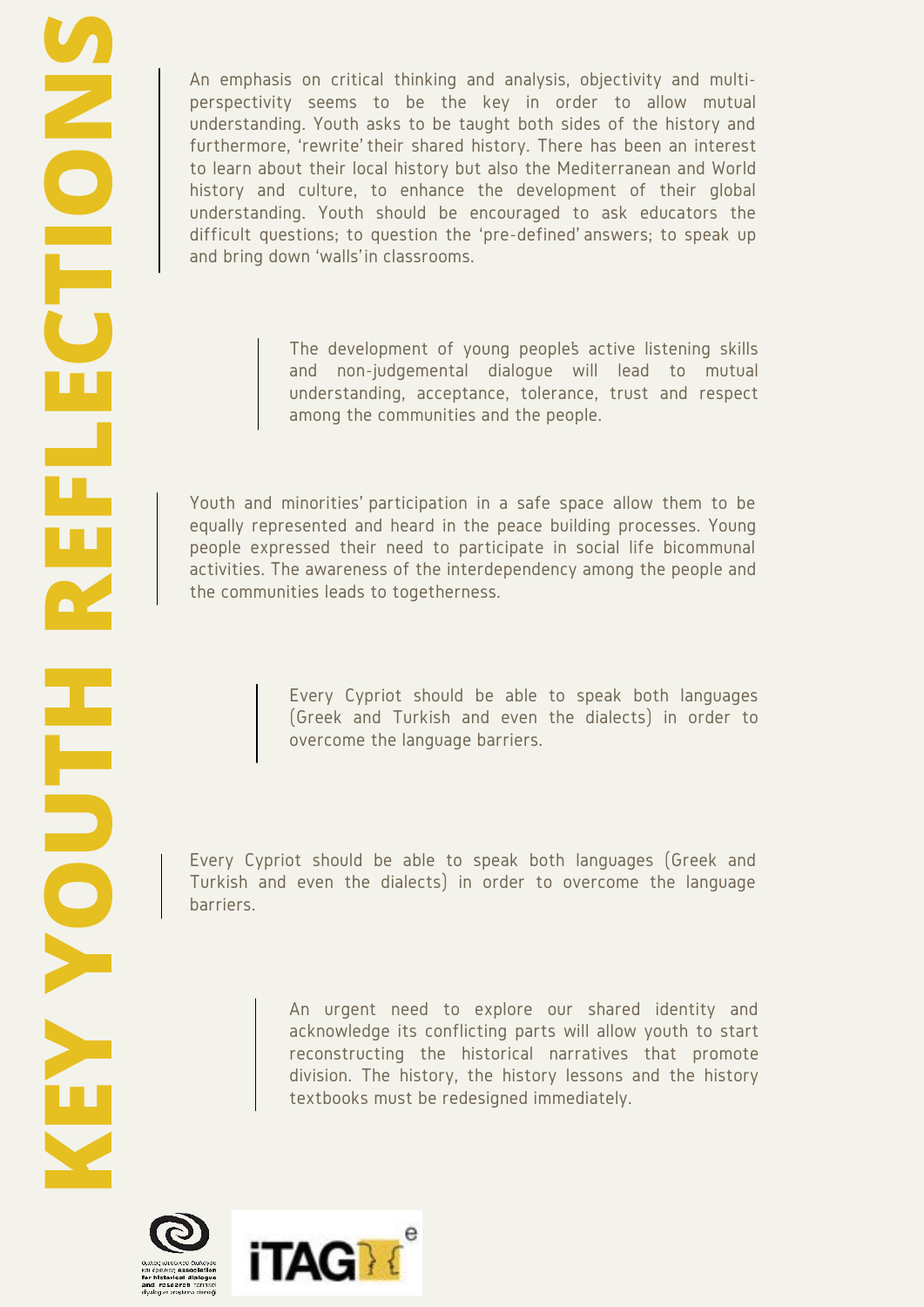An emphasis on critical thinking and analysis, objectivity and multiperspectivity seems to be the key in order to allow mutual understanding. Youth asks to be taught both sides of the history and furthermore, 'rewrite' their shared history. There has been an interest to learn about their local history but also the Mediterranean and World history and culture, to enhance the development of their global understanding. Youth should be encouraged to ask educators the difficult questions; to question the 'pre-defined' answers; to speak up and bring down 'walls' in classrooms.

> The development of young people's active listening skills and non-judgemental dialogue will lead to mutual understanding, acceptance, tolerance, trust and respect among the communities and the people.

Youth and minorities' participation in a safe space allow them to be equally represented and heard in the peace building processes. Young people expressed their need to participate in social life bicommunal activities. The awareness of the interdependency among the people and the communities leads to togetherness.

> Every Cypriot should be able to speak both languages (Greek and Turkish and even the dialects) in order to overcome the language barriers.

Every Cypriot should be able to speak both languages (Greek and Turkish and even the dialects) in order to overcome the language barriers.

> An urgent need to explore our shared identity and acknowledge its conflicting parts will allow youth to start reconstructing the historical narratives that promote division. The history, the history lessons and the history textbooks must be redesigned immediately.



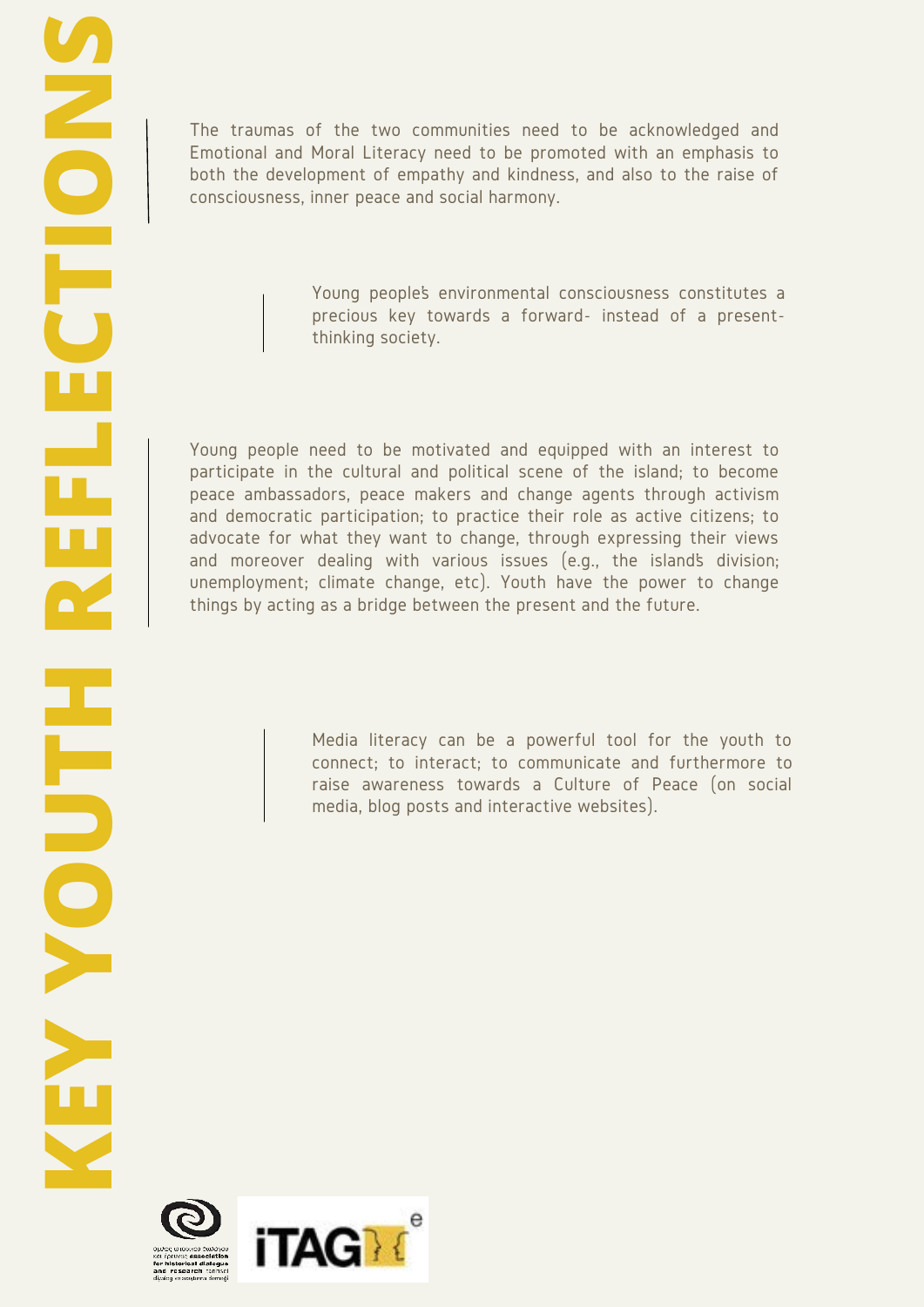The traumas of the two communities need to be acknowledged and Emotional and Moral Literacy need to be promoted with an emphasis to both the development of empathy and kindness, and also to the raise of consciousness, inner peace and social harmony.

> Young people's environmental consciousness constitutes a precious key towards a forward- instead of a presentthinking society.

Young people need to be motivated and equipped with an interest to participate in the cultural and political scene of the island; to become peace ambassadors, peace makers and change agents through activism and democratic participation; to practice their role as active citizens; to advocate for what they want to change, through expressing their views and moreover dealing with various issues (e.g., the island's division; unemployment; climate change, etc). Youth have the power to change things by acting as a bridge between the present and the future.

> Media literacy can be a powerful tool for the youth to connect; to interact; to communicate and furthermore to raise awareness towards a Culture of Peace (on social media, blog posts and interactive websites).

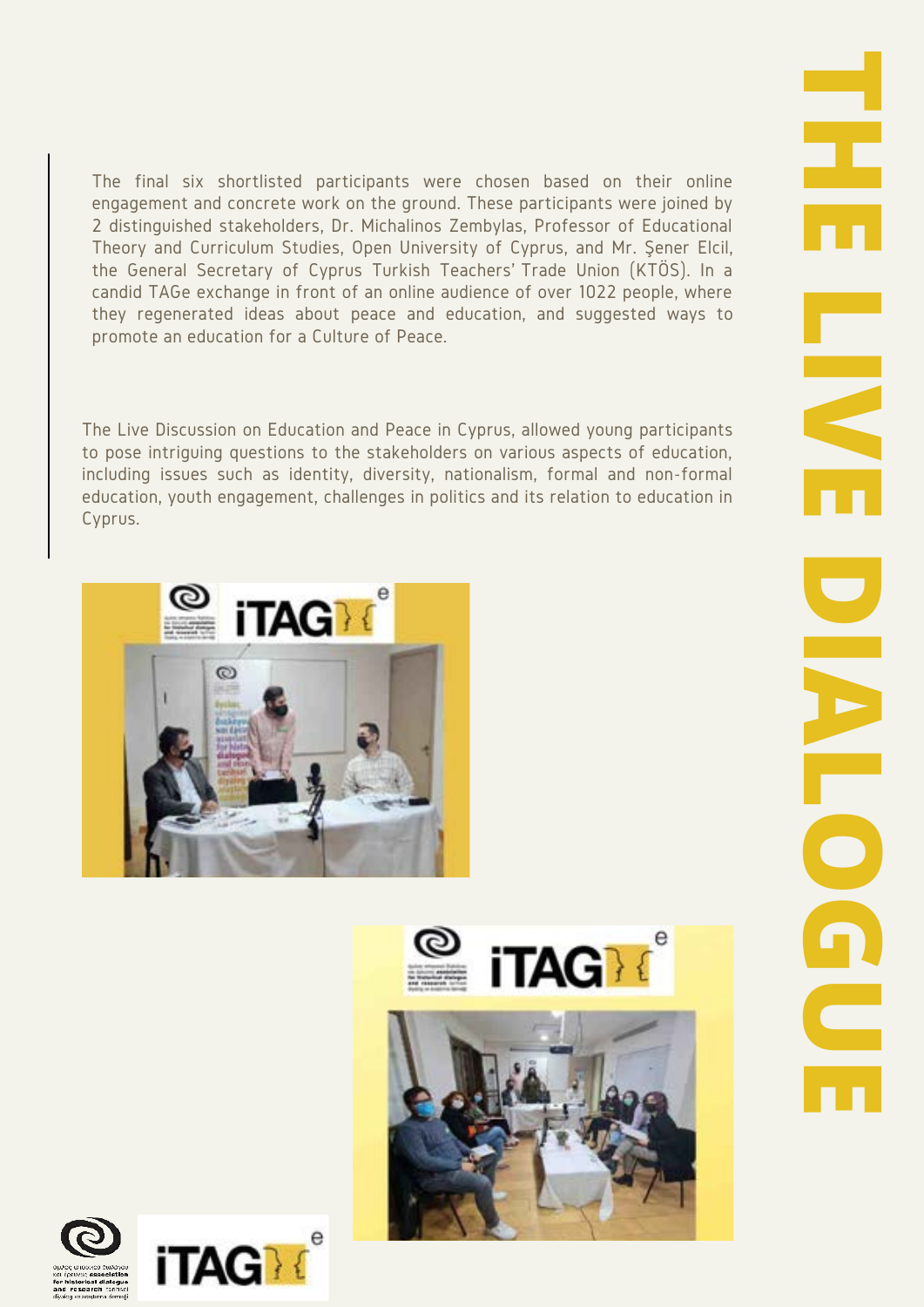The final six shortlisted participants were chosen based on their online engagement and concrete work on the ground. These participants were joined by 2 distinguished stakeholders, Dr. Michalinos Zembylas, Professor of Educational Theory and Curriculum Studies, Open University of Cyprus, and Mr. Şener Elcil, the General Secretary of Cyprus Turkish Teachers' Trade Union (KTÖS). In a candid TAGe exchange in front of an online audience of over 1022 people, where they regenerated ideas about peace and education, and suggested ways to promote an education for a Culture of Peace.

The Live Discussion on Education and Peace in Cyprus, allowed young participants to pose intriguing questions to the stakeholders on various aspects of education, including issues such as identity, diversity, nationalism, formal and non-formal education, youth engagement, challenges in politics and its relation to education in Cyprus.





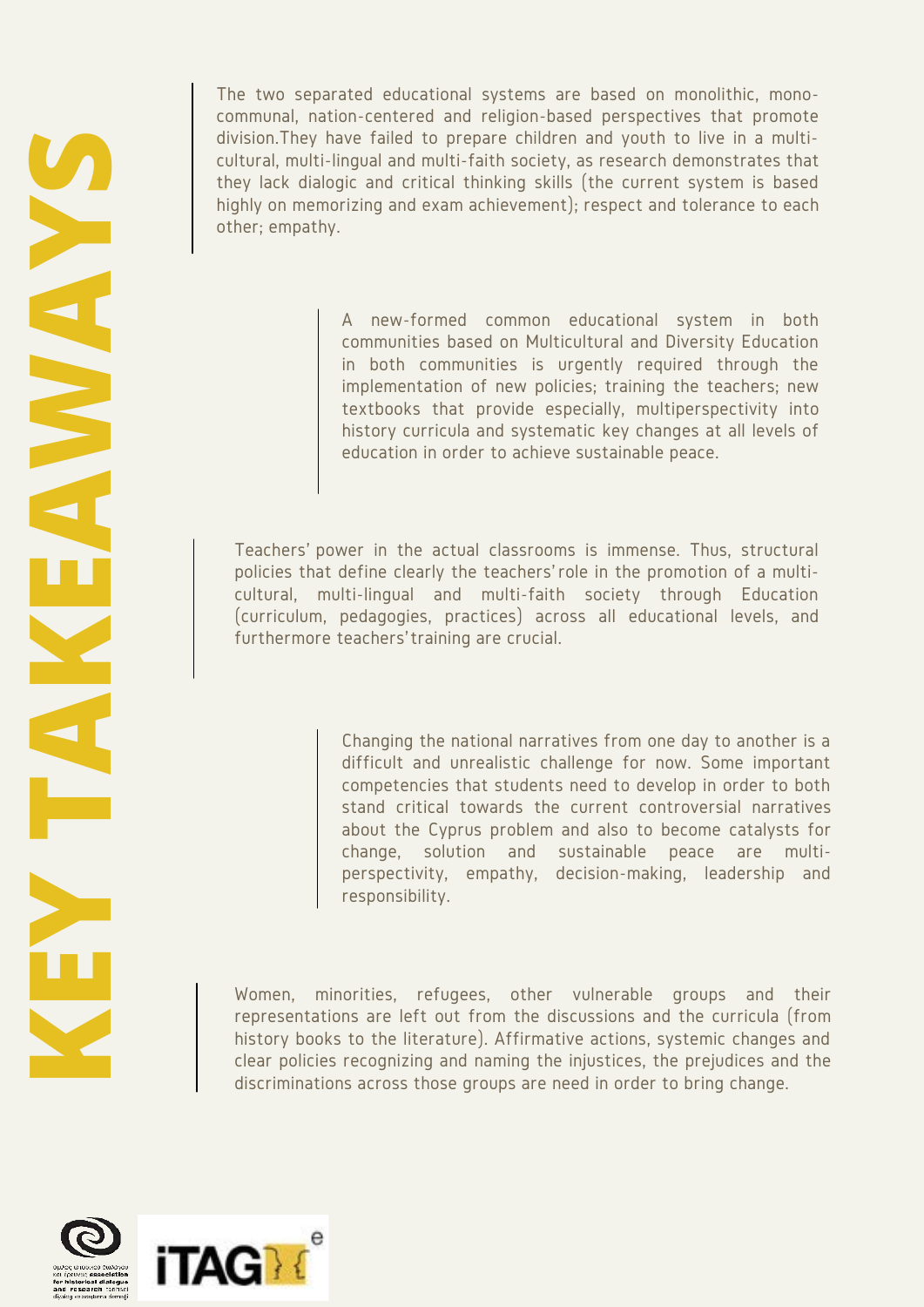**KEY TAKEAWAYS**

The two separated educational systems are based on monolithic, monocommunal, nation-centered and religion-based perspectives that promote division.They have failed to prepare children and youth to live in a multicultural, multi-lingual and multi-faith society, as research demonstrates that they lack dialogic and critical thinking skills (the current system is based highly on memorizing and exam achievement); respect and tolerance to each other; empathy.

> A new-formed common educational system in both communities based on Multicultural and Diversity Education in both communities is urgently required through the implementation of new policies; training the teachers; new textbooks that provide especially, multiperspectivity into history curricula and systematic key changes at all levels of education in order to achieve sustainable peace.

Teachers' power in the actual classrooms is immense. Thus, structural policies that define clearly the teachers' role in the promotion of a multicultural, multi-lingual and multi-faith society through Education (curriculum, pedagogies, practices) across all educational levels, and furthermore teachers' training are crucial.

> Changing the national narratives from one day to another is a difficult and unrealistic challenge for now. Some important competencies that students need to develop in order to both stand critical towards the current controversial narratives about the Cyprus problem and also to become catalysts for change, solution and sustainable peace are multiperspectivity, empathy, decision-making, leadership and responsibility.

Women, minorities, refugees, other vulnerable groups and their representations are left out from the discussions and the curricula (from history books to the literature). Affirmative actions, systemic changes and clear policies recognizing and naming the injustices, the prejudices and the discriminations across those groups are need in order to bring change.

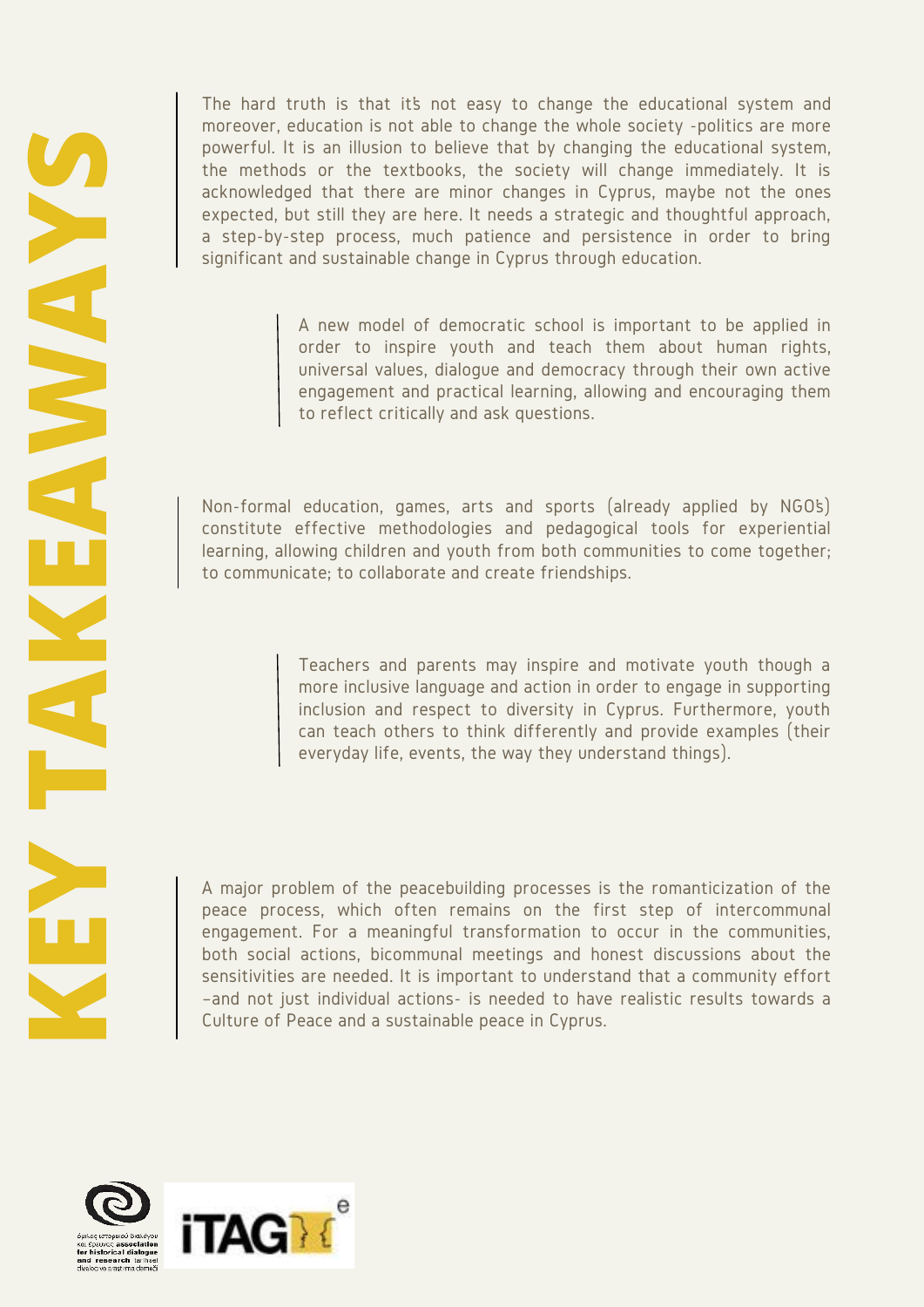The hard truth is that it's not easy to change the educational system and moreover, education is not able to change the whole society -politics are more powerful. It is an illusion to believe that by changing the educational system, the methods or the textbooks, the society will change immediately. It is acknowledged that there are minor changes in Cyprus, maybe not the ones expected, but still they are here. It needs a strategic and thoughtful approach, a step-by-step process, much patience and persistence in order to bring significant and sustainable change in Cyprus through education.

> A new model of democratic school is important to be applied in order to inspire youth and teach them about human rights, universal values, dialogue and democracy through their own active engagement and practical learning, allowing and encouraging them to reflect critically and ask questions.

Non-formal education, games, arts and sports (already applied by NGO's) constitute effective methodologies and pedagogical tools for experiential learning, allowing children and youth from both communities to come together; to communicate; to collaborate and create friendships.

> Teachers and parents may inspire and motivate youth though a more inclusive language and action in order to engage in supporting inclusion and respect to diversity in Cyprus. Furthermore, youth can teach others to think differently and provide examples (their everyday life, events, the way they understand things).

A major problem of the peacebuilding processes is the romanticization of the peace process, which often remains on the first step of intercommunal engagement. For a meaningful transformation to occur in the communities, both social actions, bicommunal meetings and honest discussions about the sensitivities are needed. It is important to understand that a community effort –and not just individual actions- is needed to have realistic results towards a Culture of Peace and a sustainable peace in Cyprus.

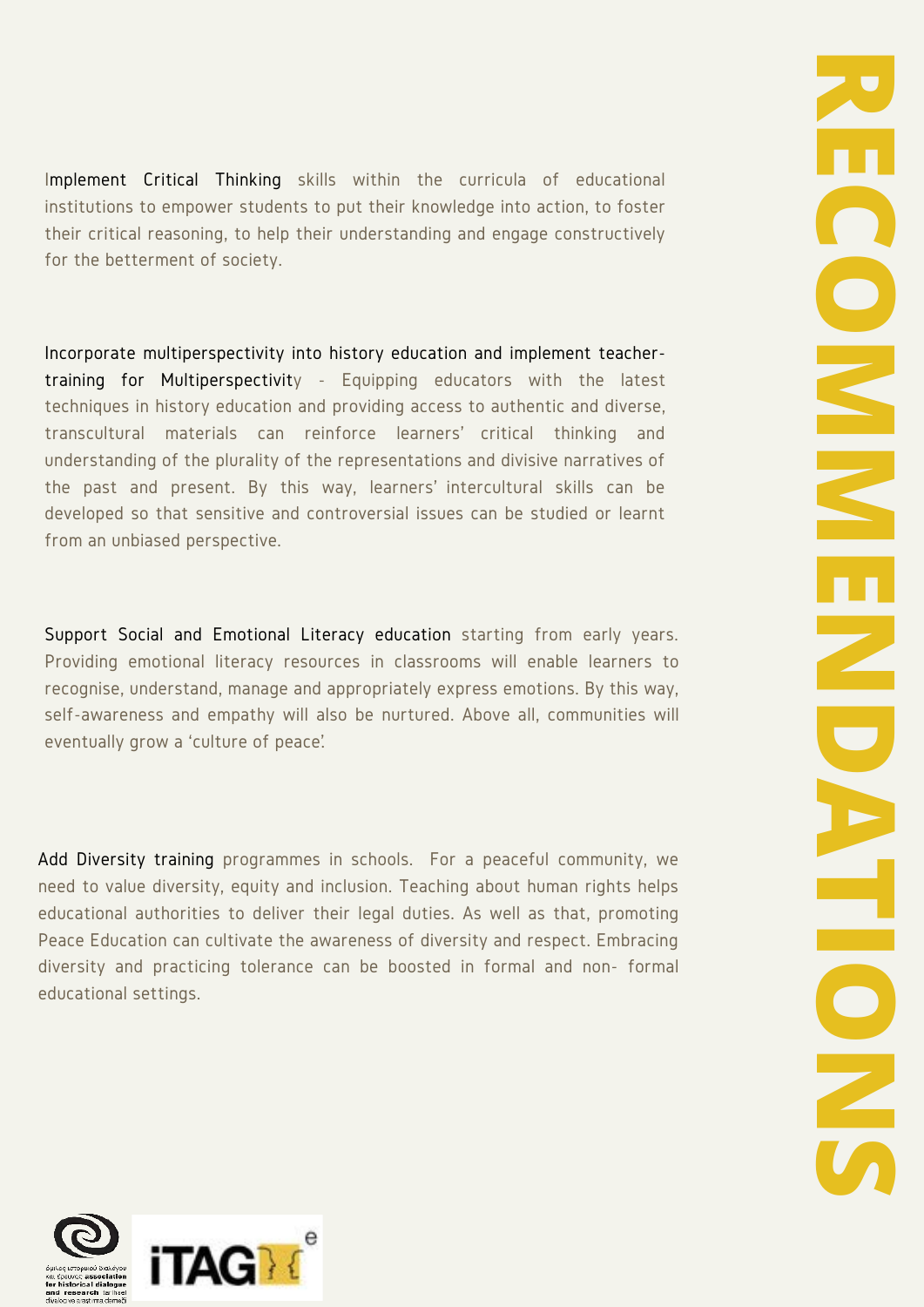Implement Critical Thinking skills within the curricula of educational institutions to empower students to put their knowledge into action, to foster their critical reasoning, to help their understanding and engage constructively for the betterment of society.

Incorporate multiperspectivity into history education and implement teachertraining for Multiperspectivity - Equipping educators with the latest techniques in history education and providing access to authentic and diverse, transcultural materials can reinforce learners' critical thinking and understanding of the plurality of the representations and divisive narratives of the past and present. By this way, learners' intercultural skills can be developed so that sensitive and controversial issues can be studied or learnt from an unbiased perspective.

Support Social and Emotional Literacy education starting from early years. Providing emotional literacy resources in classrooms will enable learners to recognise, understand, manage and appropriately express emotions. By this way, self-awareness and empathy will also be nurtured. Above all, communities will eventually grow a 'culture of peace'.

Add Diversity training programmes in schools. For a peaceful community, we need to value diversity, equity and inclusion. Teaching about human rights helps educational authorities to deliver their legal duties. As well as that, promoting Peace Education can cultivate the awareness of diversity and respect. Embracing diversity and practicing tolerance can be boosted in formal and non- formal educational settings.

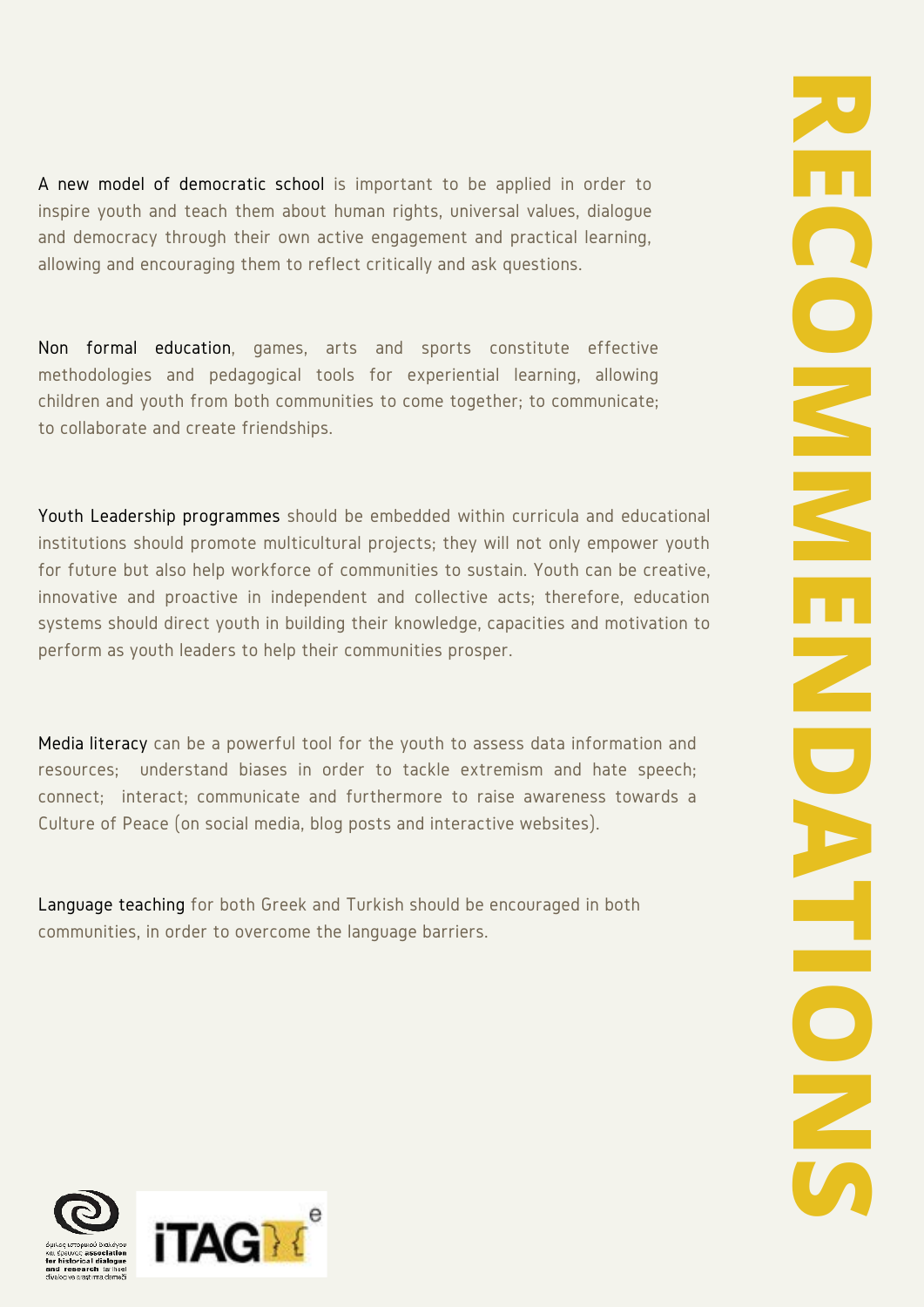A new model of democratic school is important to be applied in order to inspire youth and teach them about human rights, universal values, dialogue and democracy through their own active engagement and practical learning, allowing and encouraging them to reflect critically and ask questions.

Non formal education, games, arts and sports constitute effective methodologies and pedagogical tools for experiential learning, allowing children and youth from both communities to come together; to communicate; to collaborate and create friendships.

Youth Leadership programmes should be embedded within curricula and educational institutions should promote multicultural projects; they will not only empower youth for future but also help workforce of communities to sustain. Youth can be creative, innovative and proactive in independent and collective acts; therefore, education systems should direct youth in building their knowledge, capacities and motivation to perform as youth leaders to help their communities prosper.

Media literacy can be a powerful tool for the youth to assess data information and resources; understand biases in order to tackle extremism and hate speech; connect; interact; communicate and furthermore to raise awareness towards a Culture of Peace (on social media, blog posts and interactive websites).

Language teaching for both Greek and Turkish should be encouraged in both communities, in order to overcome the language barriers.

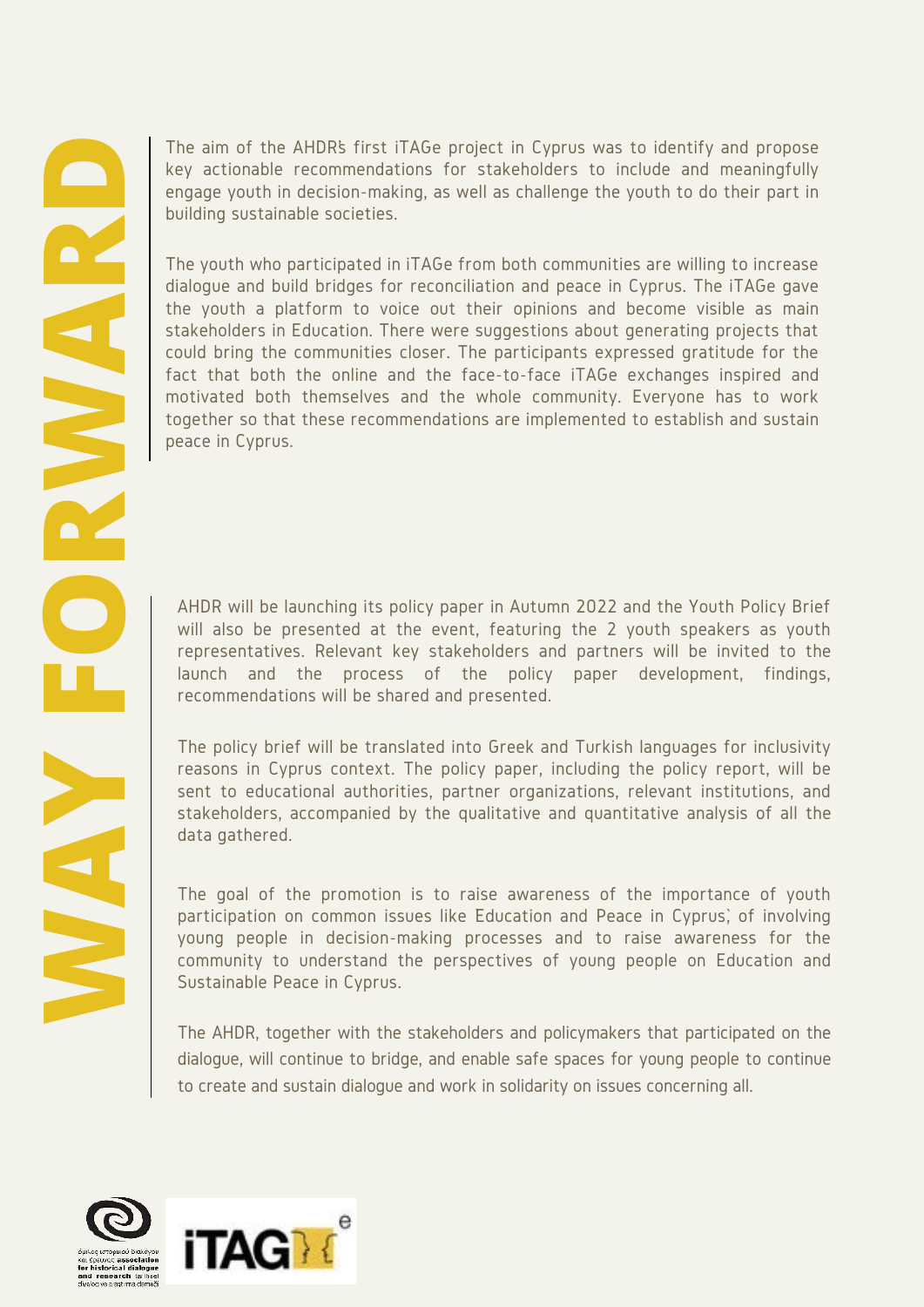The aim of the AHDR's first iTAGe project in Cyprus was to identify and propose key actionable recommendations for stakeholders to include and meaningfully engage youth in decision-making, as well as challenge the youth to do their part in building sustainable societies.

The youth who participated in iTAGe from both communities are willing to increase dialogue and build bridges for reconciliation and peace in Cyprus. The iTAGe gave the youth a platform to voice out their opinions and become visible as main stakeholders in Education. There were suggestions about generating projects that could bring the communities closer. The participants expressed gratitude for the fact that both the online and the face-to-face iTAGe exchanges inspired and motivated both themselves and the whole community. Everyone has to work together so that these recommendations are implemented to establish and sustain peace in Cyprus. The apple youth in decision-making as the stackholders to include and meaningfully<br>engage youth in decision-making, as well as challenge the youth to do their part in<br>equiding sustainable societies.<br>The youth when particip

will also be presented at the event, featuring the 2 youth speakers as youth representatives. Relevant key stakeholders and partners will be invited to the launch and the process of the policy paper development, findings, recommendations will be shared and presented.

The policy brief will be translated into Greek and Turkish languages for inclusivity reasons in Cyprus context. The policy paper, including the policy report, will be sent to educational authorities, partner organizations, relevant institutions, and stakeholders, accompanied by the qualitative and quantitative analysis of all the data gathered.

The goal of the promotion is to raise awareness of the importance of youth participation on common issues like Education and Peace in Cyprus, of involving young people in decision-making processes and to raise awareness for the community to understand the perspectives of young people on Education and Sustainable Peace in Cyprus.

The AHDR, together with the stakeholders and policymakers that participated on the dialogue, will continue to bridge, and enable safe spaces for young people to continue to create and sustain dialogue and work in solidarity on issues concerning all.



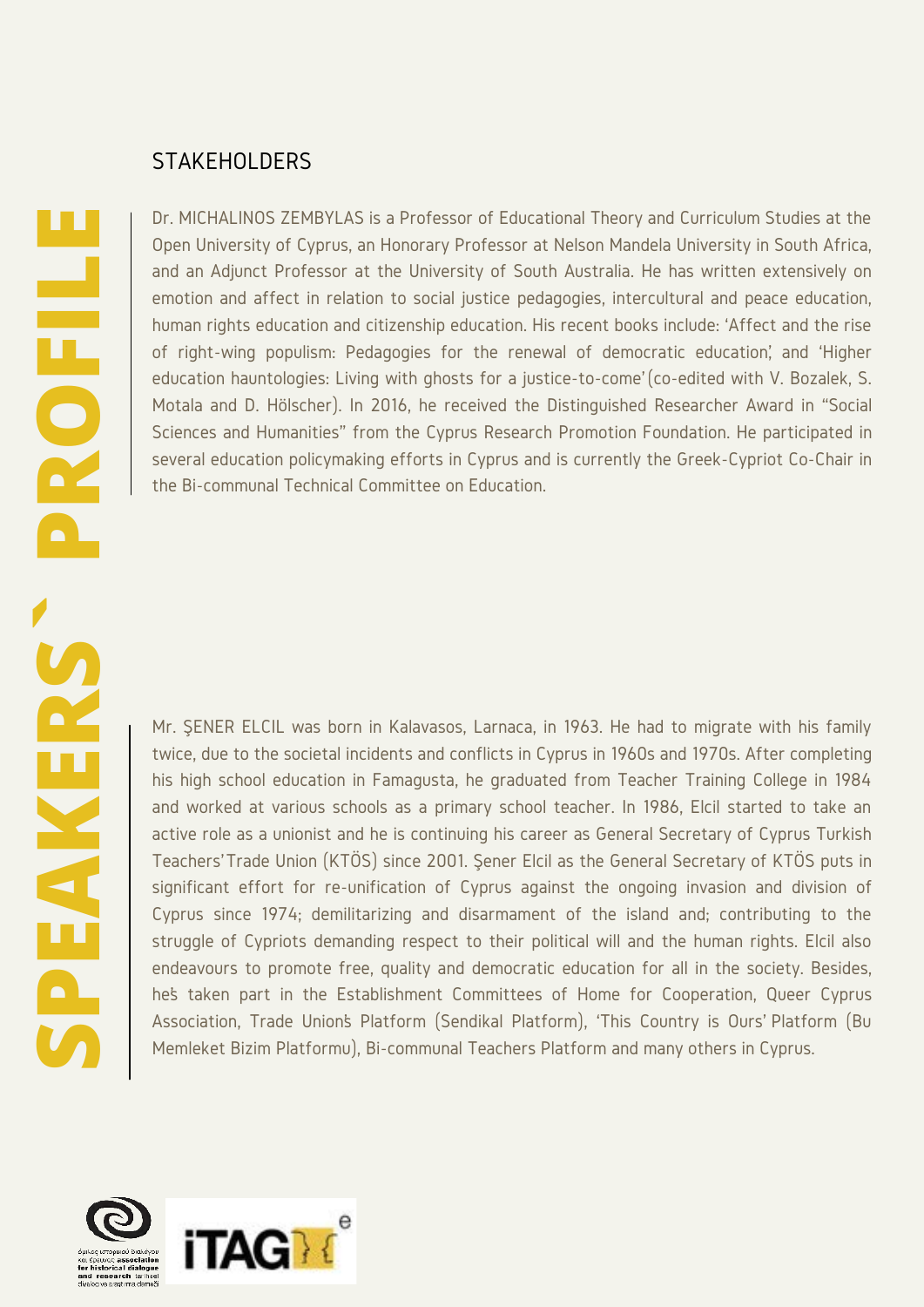#### **STAKEHOLDERS**

Dr. MICHALINOS ZEMBYLAS is a Professor of Educational Theory and Curriculum Studies at the Open University of Cyprus, an Honorary Professor at Nelson Mandela University in South Africa, and an Adjunct Professor at the University of South Australia. He has written extensively on emotion and affect in relation to social justice pedagogies, intercultural and peace education, human rights education and citizenship education. His recent books include: 'Affect and the rise of right-wing populism: Pedagogies for the renewal of democratic education', and 'Higher education hauntologies: Living with ghosts for a justice-to-come' (co-edited with V. Bozalek, S. Motala and D. Hölscher). In 2016, he received the Distinguished Researcher Award in "Social Sciences and Humanities" from the Cyprus Research Promotion Foundation. He participated in several education policymaking efforts in Cyprus and is currently the Greek-Cypriot Co-Chair in the Bi-communal Technical Committee on Education.

Mr. ŞENER ELCIL was born in Kalavasos, Larnaca, in 1963. He had to migrate with his family twice, due to the societal incidents and conflicts in Cyprus in 1960s and 1970s. After completing his high school education in Famagusta, he graduated from Teacher Training College in 1984 and worked at various schools as a primary school teacher. In 1986, Elcil started to take an active role as a unionist and he is continuing his career as General Secretary of Cyprus Turkish Teachers' Trade Union (KTÖS) since 2001. Şener Elcil as the General Secretary of KTÖS puts in significant effort for re-unification of Cyprus against the ongoing invasion and division of Cyprus since 1974; demilitarizing and disarmament of the island and; contributing to the struggle of Cypriots demanding respect to their political will and the human rights. Elcil also endeavours to promote free, quality and democratic education for all in the society. Besides, he's taken part in the Establishment Committees of Home for Cooperation, Queer Cyprus Association, Trade Union's Platform (Sendikal Platform), 'This Country is Ours' Platform (Bu Memleket Bizim Platformu), Bi-communal Teachers Platform and many others in Cyprus.

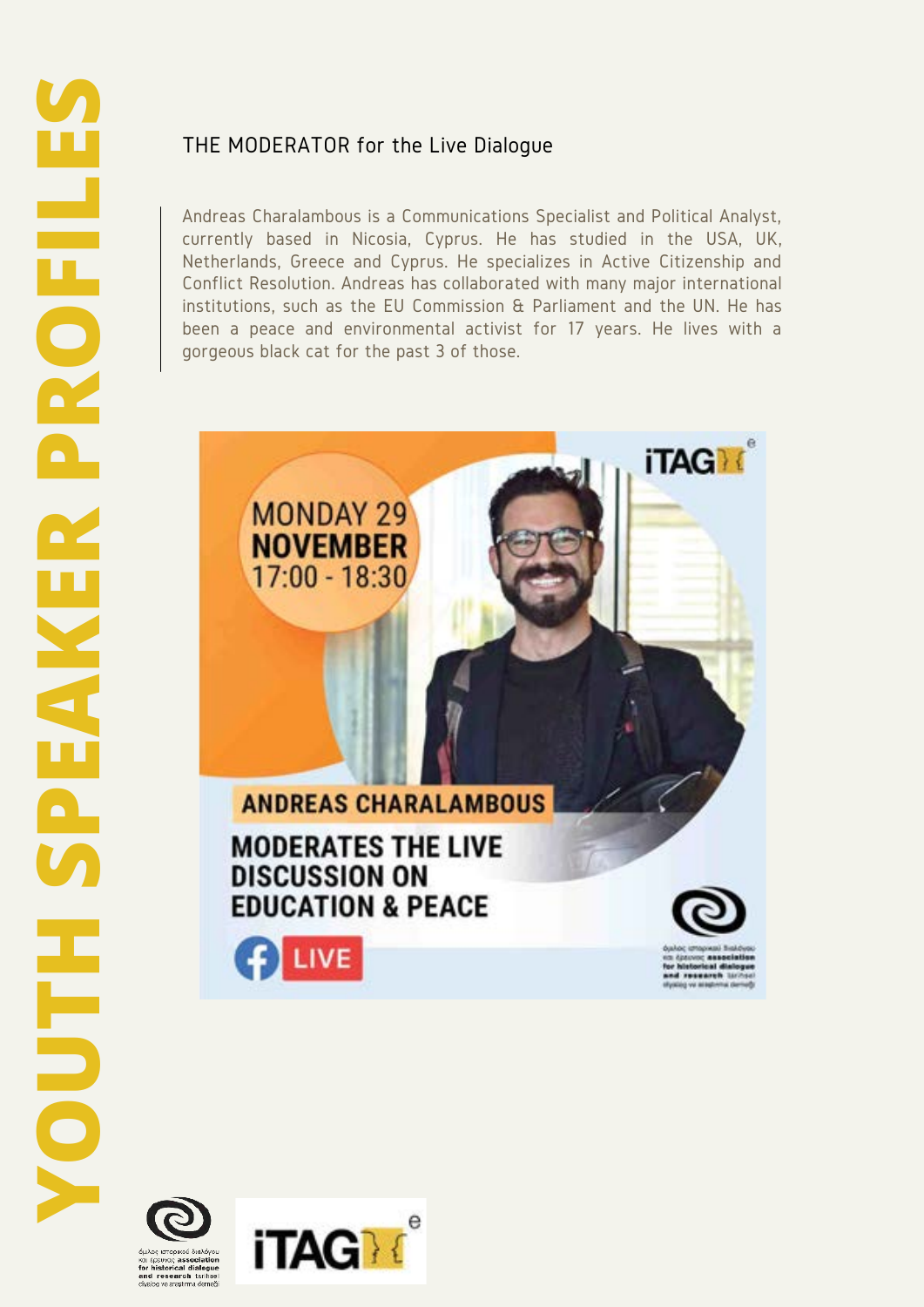# THE MODERATOR for the Live Dialogue

Andreas Charalambous is a Communications Specialist and Political Analyst, currently based in Nicosia, Cyprus. He has studied in the USA, UK, Netherlands, Greece and Cyprus. He specializes in Active Citizenship and Conflict Resolution. Andreas has collaborated with many major international institutions, such as the EU Commission & Parliament and the UN. He has been a peace and environmental activist for 17 years. He lives with a gorgeous black cat for the past 3 of those.





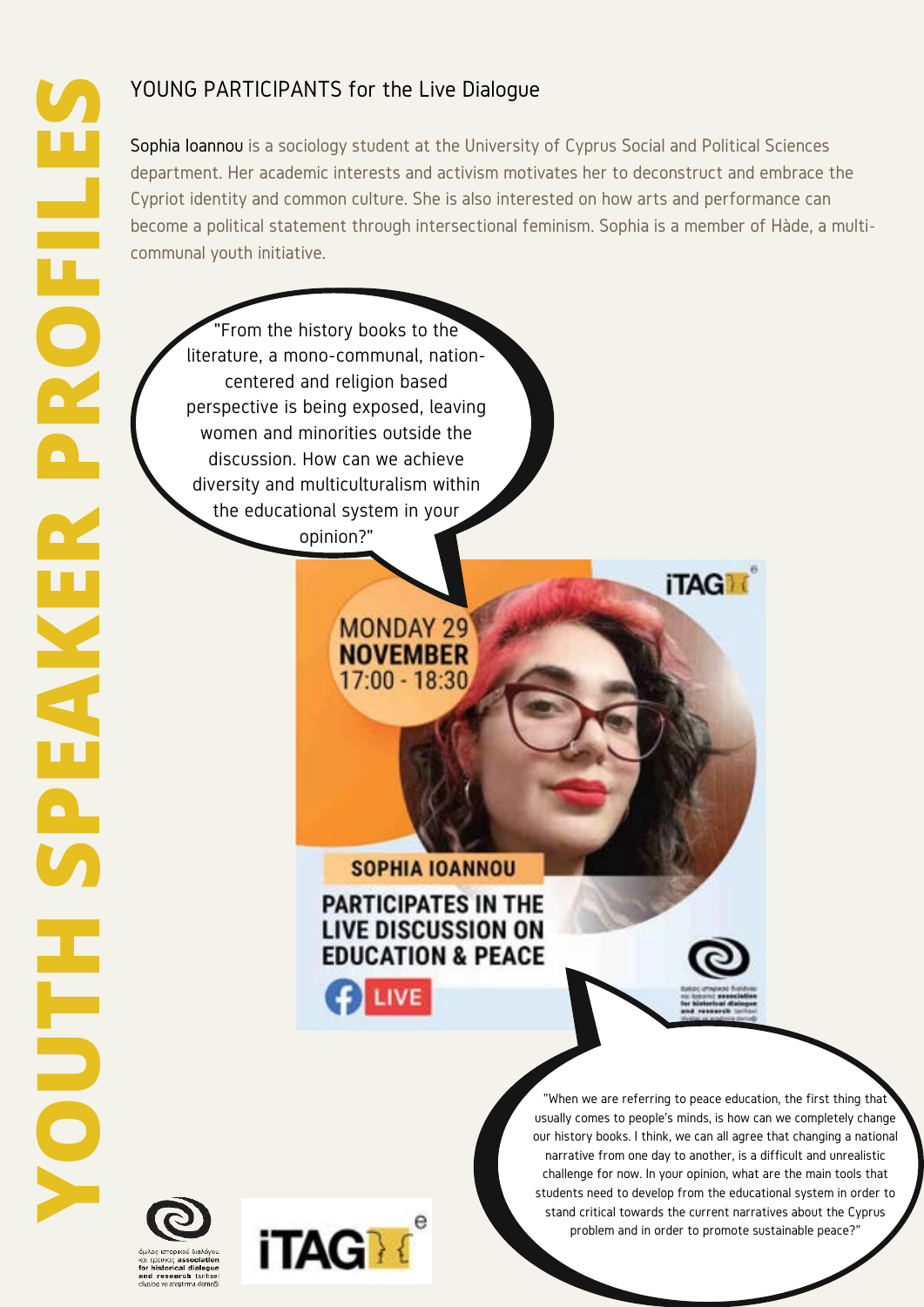Sophia Ioannou is a sociology student at the University of Cyprus Social and Political Sciences department. Her academic interests and activism motivates her to deconstruct and embrace the Cypriot identity and common culture. She is also interested on how arts and performance can become a political statement through intersectional feminism. Sophia is a member of Hàde, a multicommunal youth initiative.

"From the history books to the literature, a mono-communal, nationcentered and religion based perspective is being exposed, leaving women and minorities outside the discussion. How can we achieve diversity and multiculturalism within the educational system in your opinion?"

# **SOPHIA IOANNOU**

**MONDAY 29 NOVEMBER** 17:00 - 18:30

# **PARTICIPATES IN THE LIVE DISCUSSION ON EDUCATION & PEACE**

 $f$  LIVE



**iTAGM** 





"When we are referring to peace education, the first thing that usually comes to people's minds, is how can we completely change our history books. I think, we can all agree that changing a national narrative from one day to another, is a difficult and unrealistic challenge for now. In your opinion, what are the main tools that students need to develop from the educational system in order to stand critical towards the current narratives about the Cyprus problem and in order to promote sustainable peace?"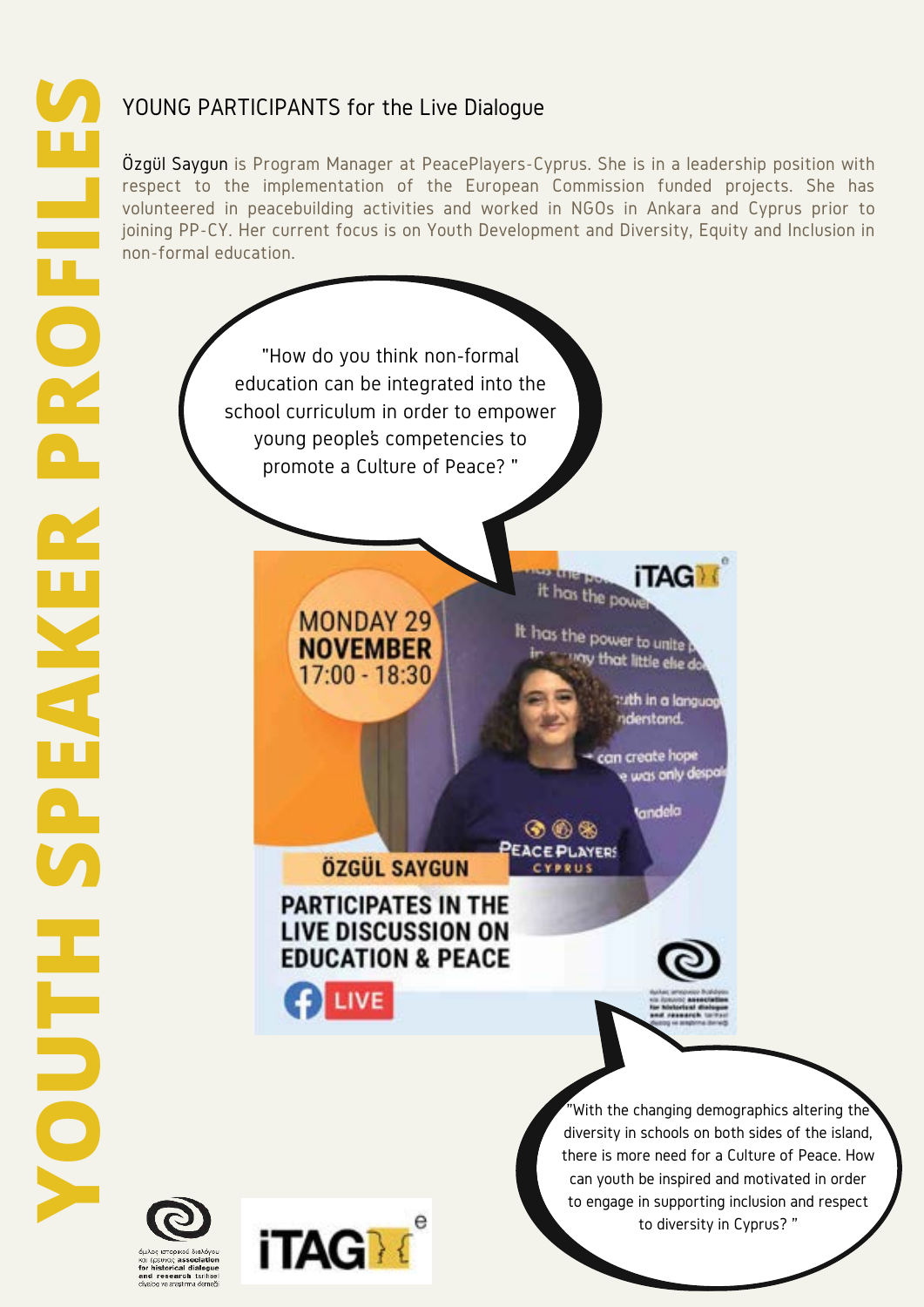Özgül Saygun is Program Manager at PeacePlayers-Cyprus. She is in a leadership position with respect to the implementation of the European Commission funded projects. She has volunteered in peacebuilding activities and worked in NGOs in Ankara and Cyprus prior to joining PP-CY. Her current focus is on Youth Development and Diversity, Equity and Inclusion in non-formal education.

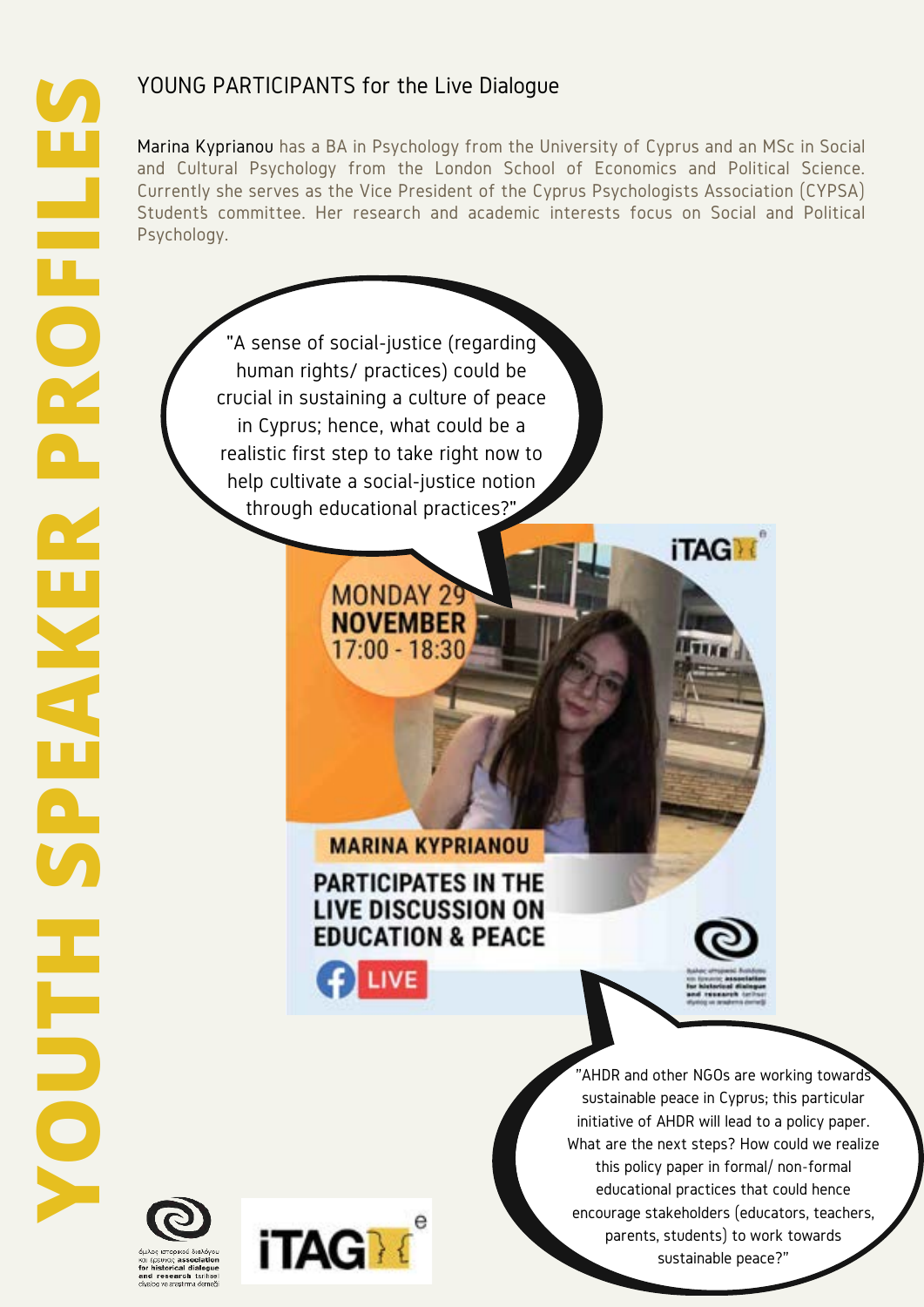"A sense of social-justice (regarding human rights/ practices) could be crucial in sustaining a culture of peace in Cyprus; hence, what could be a realistic first step to take right now to help cultivate a social-justice notion through educational practices?"

> **MONDAY 29 NOVEMBER** 17:00 - 18:30

Marina Kyprianou has a BA in Psychology from the University of Cyprus and an MSc in Social and Cultural Psychology from the London School of Economics and Political Science. Currently she serves as the Vice President of the Cyprus Psychologists Association (CYPSA) Student's committee. Her research and academic interests focus on Social and Political Psychology.

**MARINA KYPRIANOU** 

# **PARTICIPATES IN THE LIVE DISCUSSION ON EDUCATION & PEACE**

 $\Gamma$  LIVE

**iTAG** 



**iTAG** 

'AHDR and other NGOs are working toward! sustainable peace in Cyprus; this particular initiative of AHDR will lead to a policy paper. What are the next steps? How could we realize this policy paper in formal/ non-formal educational practices that could hence encourage stakeholders (educators, teachers, parents, students) to work towards sustainable peace?"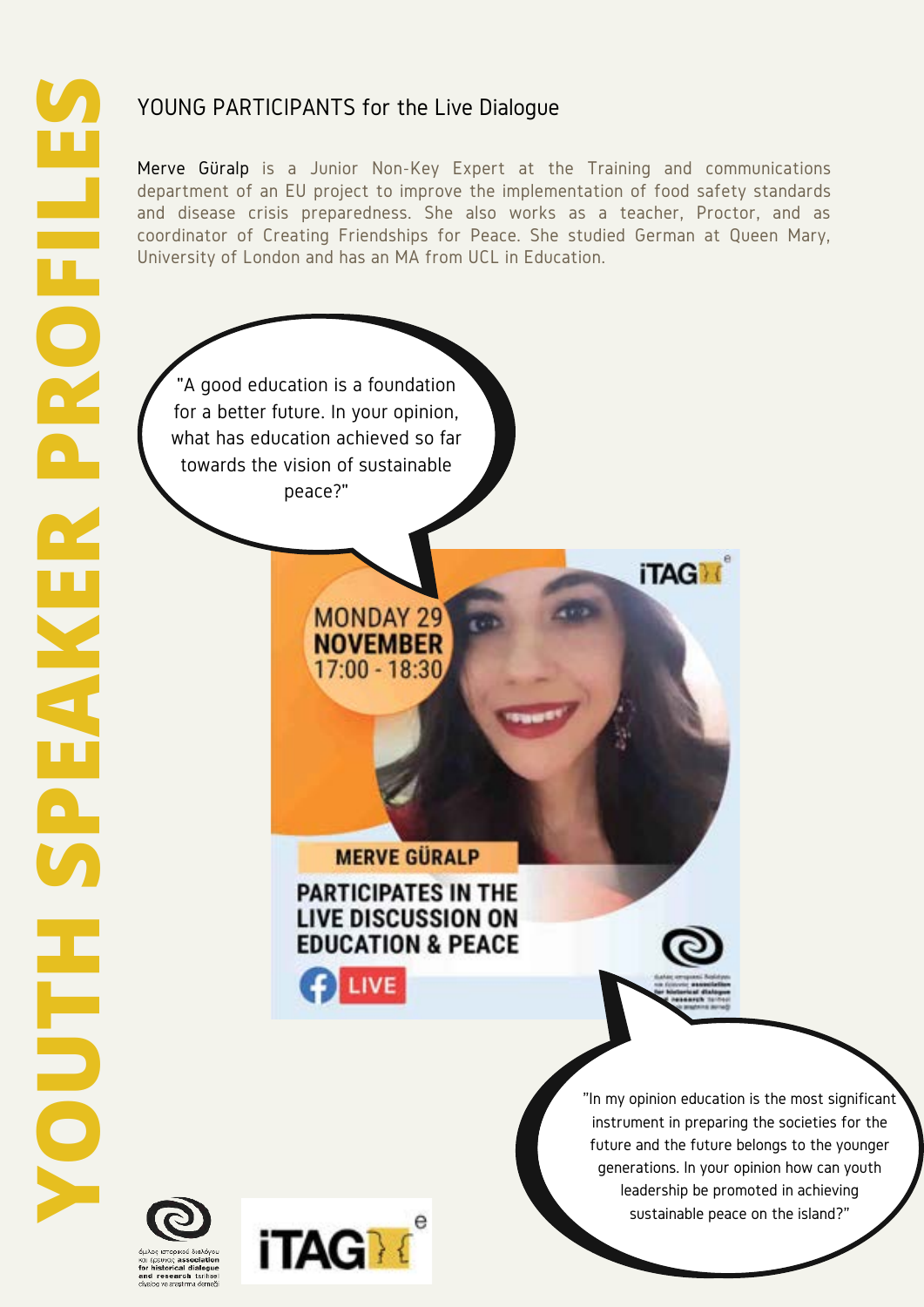Merve Güralp is a Junior Non-Key Expert at the Training and communications department of an EU project to improve the implementation of food safety standards and disease crisis preparedness. She also works as a teacher, Proctor, and as coordinator of Creating Friendships for Peace. She studied German at Queen Mary, University of London and has an MA from UCL in Education.

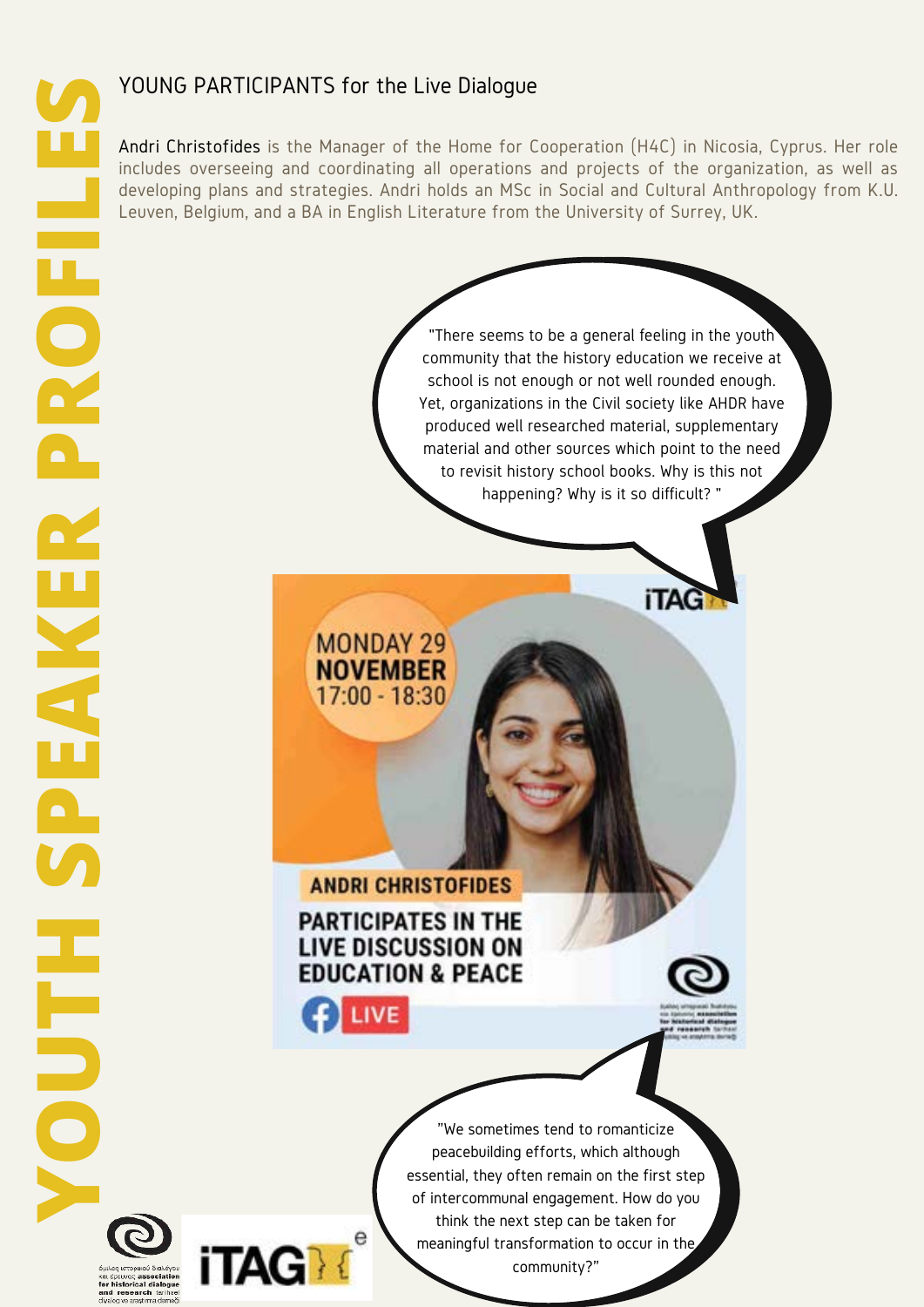Andri Christofides is the Manager of the Home for Cooperation (H4C) in Nicosia, Cyprus. Her role includes overseeing and coordinating all operations and projects of the organization, as well as developing plans and strategies. Andri holds an MSc in Social and Cultural Anthropology from K.U. Leuven, Belgium, and a BA in English Literature from the University of Surrey, UK.

"There seems to be a general feeling in the youth community that the history education we receive at school is not enough or not well rounded enough. Yet, organizations in the Civil society like AHDR have produced well researched material, supplementary material and other sources which point to the need to revisit history school books. Why is this not happening? Why is it so difficult? "

**ANDRI CHRISTOFIDES PARTICIPATES IN THE LIVE DISCUSSION ON EDUCATION & PEACE** 

LIVE

е

**iTAG** 

**MONDAY 29 NOVEMBER**  $17:00 - 18:30$ 



**iTAG** 

"We sometimes tend to romanticize peacebuilding efforts, which although essential, they often remain on the first step of intercommunal engagement. How do you think the next step can be taken for meaningful transformation to occur in the community?"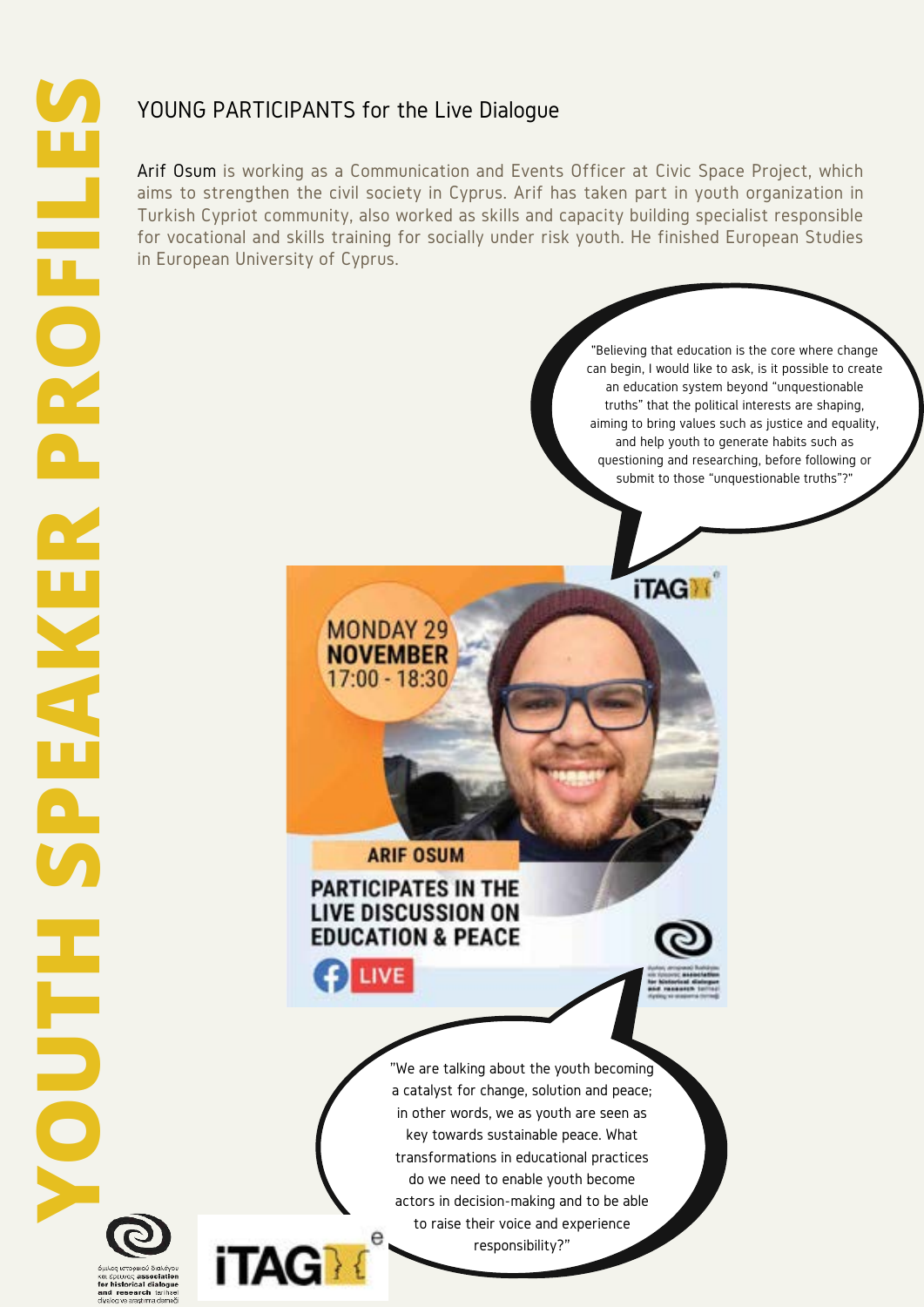Arif Osum is working as a Communication and Events Officer at Civic Space Project, which aims to strengthen the civil society in Cyprus. Arif has taken part in youth organization in Turkish Cypriot community, also worked as skills and capacity building specialist responsible for vocational and skills training for socially under risk youth. He finished European Studies in European University of Cyprus.

> "Believing that education is the core where change can begin, I would like to ask, is it possible to create an education system beyond "unquestionable truths" that the political interests are shaping, aiming to bring values such as justice and equality, and help youth to generate habits such as questioning and researching, before following or submit to those "unquestionable truths"?"

**ARIF OSUM** 

**MONDAY 29 NOVEMBER** 17:00 - 18:30

#### **PARTICIPATES IN THE LIVE DISCUSSION ON EDUCATION & PEACE**

LIVE

e

**iTAG** 



**iTAG** 

"We are talking about the youth becoming a catalyst for change, solution and peace; in other words, we as youth are seen as key towards sustainable peace. What transformations in educational practices do we need to enable youth become actors in decision-making and to be able to raise their voice and experience responsibility?"